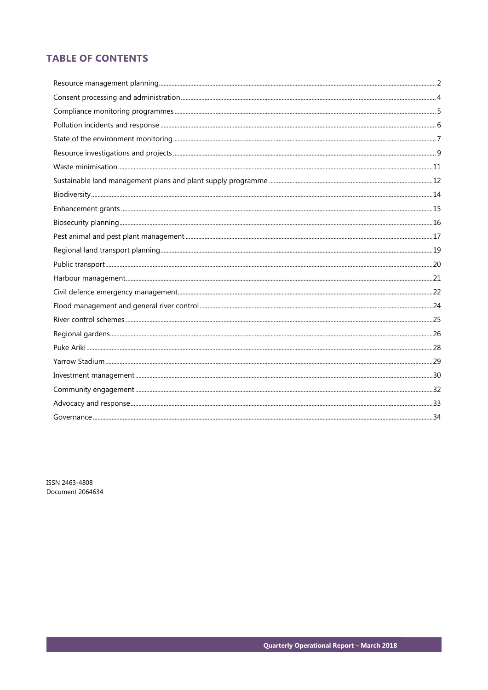# **TABLE OF CONTENTS**

ISSN 2463-4808 Document 2064634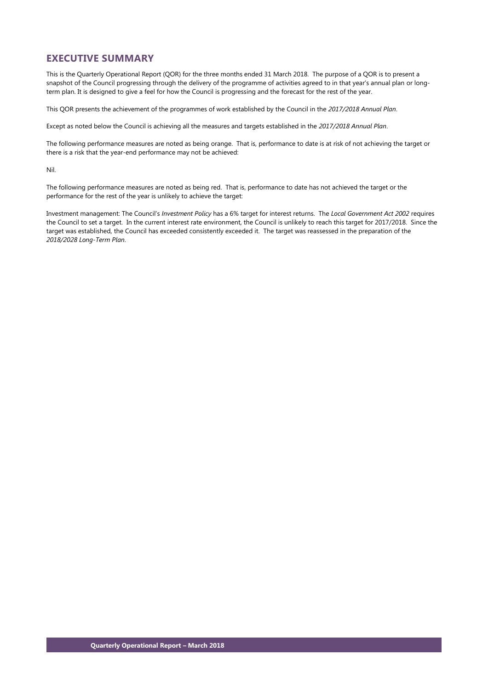# **EXECUTIVE SUMMARY**

This is the Quarterly Operational Report (QOR) for the three months ended 31 March 2018. The purpose of a QOR is to present a snapshot of the Council progressing through the delivery of the programme of activities agreed to in that year's annual plan or longterm plan. It is designed to give a feel for how the Council is progressing and the forecast for the rest of the year.

This QOR presents the achievement of the programmes of work established by the Council in the *2017/2018 Annual Plan*.

Except as noted below the Council is achieving all the measures and targets established in the *2017/2018 Annual Plan*.

The following performance measures are noted as being orange. That is, performance to date is at risk of not achieving the target or there is a risk that the year-end performance may not be achieved:

Nil.

The following performance measures are noted as being red. That is, performance to date has not achieved the target or the performance for the rest of the year is unlikely to achieve the target:

Investment management: The Council's *Investment Policy* has a 6% target for interest returns. The *Local Government Act 2002* requires the Council to set a target. In the current interest rate environment, the Council is unlikely to reach this target for 2017/2018. Since the target was established, the Council has exceeded consistently exceeded it. The target was reassessed in the preparation of the *2018/2028 Long-Term Plan*.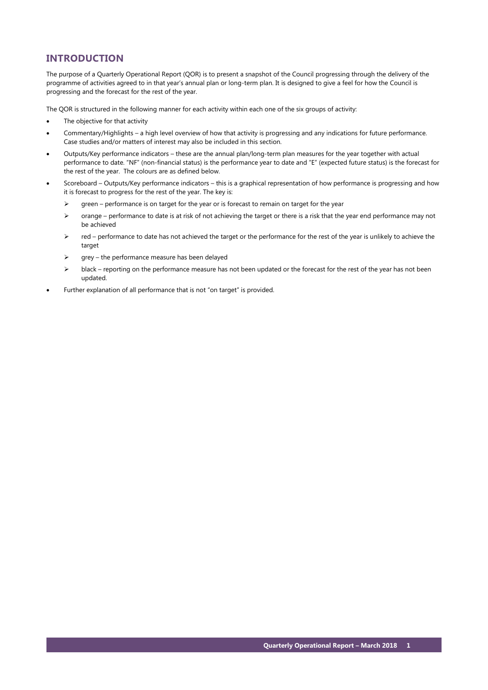# **INTRODUCTION**

The purpose of a Quarterly Operational Report (QOR) is to present a snapshot of the Council progressing through the delivery of the programme of activities agreed to in that year's annual plan or long-term plan. It is designed to give a feel for how the Council is progressing and the forecast for the rest of the year.

The QOR is structured in the following manner for each activity within each one of the six groups of activity:

- The objective for that activity
- Commentary/Highlights a high level overview of how that activity is progressing and any indications for future performance. Case studies and/or matters of interest may also be included in this section.
- Outputs/Key performance indicators these are the annual plan/long-term plan measures for the year together with actual performance to date. "NF" (non-financial status) is the performance year to date and "E" (expected future status) is the forecast for the rest of the year. The colours are as defined below.
- Scoreboard Outputs/Key performance indicators this is a graphical representation of how performance is progressing and how it is forecast to progress for the rest of the year. The key is:
	- $\triangleright$  green performance is on target for the year or is forecast to remain on target for the year
	- $\triangleright$  orange performance to date is at risk of not achieving the target or there is a risk that the year end performance may not be achieved
	- $\triangleright$  red performance to date has not achieved the target or the performance for the rest of the year is unlikely to achieve the target
	- $\triangleright$  grey the performance measure has been delayed
	- black reporting on the performance measure has not been updated or the forecast for the rest of the year has not been updated.
- Further explanation of all performance that is not "on target" is provided.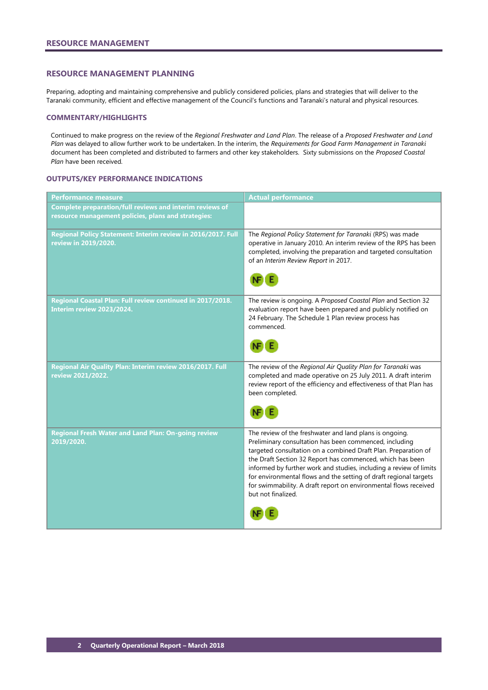### <span id="page-3-0"></span>**RESOURCE MANAGEMENT PLANNING**

Preparing, adopting and maintaining comprehensive and publicly considered policies, plans and strategies that will deliver to the Taranaki community, efficient and effective management of the Council's functions and Taranaki's natural and physical resources.

### **COMMENTARY/HIGHLIGHTS**

Continued to make progress on the review of the *Regional Freshwater and Land Plan*. The release of a *Proposed Freshwater and Land Plan* was delayed to allow further work to be undertaken. In the interim, the *Requirements for Good Farm Management in Taranaki* document has been completed and distributed to farmers and other key stakeholders. Sixty submissions on the *Proposed Coastal Plan* have been received.

### **OUTPUTS/KEY PERFORMANCE INDICATIONS**

| <b>Performance measure</b>                                                                                      | <b>Actual performance</b>                                                                                                                                                                                                                                                                                                                                                                                                                                                             |
|-----------------------------------------------------------------------------------------------------------------|---------------------------------------------------------------------------------------------------------------------------------------------------------------------------------------------------------------------------------------------------------------------------------------------------------------------------------------------------------------------------------------------------------------------------------------------------------------------------------------|
| Complete preparation/full reviews and interim reviews of<br>resource management policies, plans and strategies: |                                                                                                                                                                                                                                                                                                                                                                                                                                                                                       |
| Regional Policy Statement: Interim review in 2016/2017. Full<br>review in 2019/2020.                            | The Regional Policy Statement for Taranaki (RPS) was made<br>operative in January 2010. An interim review of the RPS has been<br>completed, involving the preparation and targeted consultation<br>of an Interim Review Report in 2017.                                                                                                                                                                                                                                               |
| Regional Coastal Plan: Full review continued in 2017/2018.<br>Interim review 2023/2024.                         | The review is ongoing. A Proposed Coastal Plan and Section 32<br>evaluation report have been prepared and publicly notified on<br>24 February. The Schedule 1 Plan review process has<br>commenced.                                                                                                                                                                                                                                                                                   |
|                                                                                                                 |                                                                                                                                                                                                                                                                                                                                                                                                                                                                                       |
| Regional Air Quality Plan: Interim review 2016/2017. Full<br>review 2021/2022.                                  | The review of the Regional Air Quality Plan for Taranaki was<br>completed and made operative on 25 July 2011. A draft interim<br>review report of the efficiency and effectiveness of that Plan has<br>been completed.                                                                                                                                                                                                                                                                |
|                                                                                                                 |                                                                                                                                                                                                                                                                                                                                                                                                                                                                                       |
| Regional Fresh Water and Land Plan: On-going review<br>2019/2020.                                               | The review of the freshwater and land plans is ongoing.<br>Preliminary consultation has been commenced, including<br>targeted consultation on a combined Draft Plan. Preparation of<br>the Draft Section 32 Report has commenced, which has been<br>informed by further work and studies, including a review of limits<br>for environmental flows and the setting of draft regional targets<br>for swimmability. A draft report on environmental flows received<br>but not finalized. |
|                                                                                                                 |                                                                                                                                                                                                                                                                                                                                                                                                                                                                                       |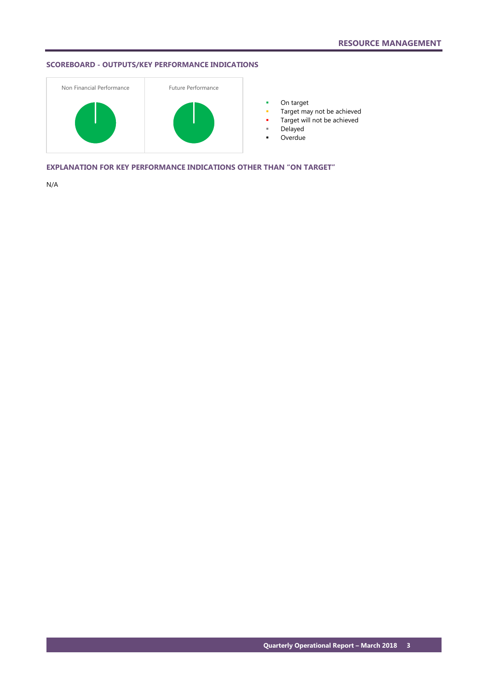# **SCOREBOARD - OUTPUTS/KEY PERFORMANCE INDICATIONS**



**•** On target

- **Target may not be achieved**
- **Target will not be achieved**
- Delayed
- Overdue

**EXPLANATION FOR KEY PERFORMANCE INDICATIONS OTHER THAN "ON TARGET"**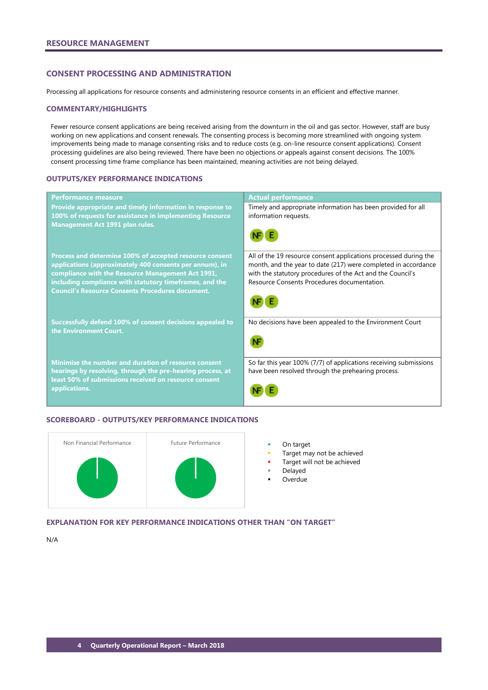# <span id="page-5-0"></span>**CONSENT PROCESSING AND ADMINISTRATION**

Processing all applications for resource consents and administering resource consents in an efficient and effective manner.

### **COMMENTARY/HIGHLIGHTS**

Fewer resource consent applications are being received arising from the downturn in the oil and gas sector. However, staff are busy working on new applications and consent renewals. The consenting process is becoming more streamlined with ongoing system improvements being made to manage consenting risks and to reduce costs (e.g. on-line resource consent applications). Consent processing guidelines are also being reviewed. There have been no objections or appeals against consent decisions. The 100% consent processing time frame compliance has been maintained, meaning activities are not being delayed.

### **OUTPUTS/KEY PERFORMANCE INDICATIONS**

| <b>Performance measure</b>                                                                                                                                                                                                                                                                    | <b>Actual performance</b>                                                                                                                                                                                                                       |
|-----------------------------------------------------------------------------------------------------------------------------------------------------------------------------------------------------------------------------------------------------------------------------------------------|-------------------------------------------------------------------------------------------------------------------------------------------------------------------------------------------------------------------------------------------------|
| Provide appropriate and timely information in response to<br>100% of requests for assistance in implementing Resource<br><b>Management Act 1991 plan rules.</b>                                                                                                                               | Timely and appropriate information has been provided for all<br>information requests.                                                                                                                                                           |
| Process and determine 100% of accepted resource consent<br>applications (approximately 400 consents per annum), in<br>compliance with the Resource Management Act 1991,<br>including compliance with statutory timeframes, and the<br><b>Council's Resource Consents Procedures document.</b> | All of the 19 resource consent applications processed during the<br>month, and the year to date (217) were completed in accordance<br>with the statutory procedures of the Act and the Council's<br>Resource Consents Procedures documentation. |
| Successfully defend 100% of consent decisions appealed to<br>the Environment Court.                                                                                                                                                                                                           | No decisions have been appealed to the Environment Court                                                                                                                                                                                        |
| Minimise the number and duration of resource consent<br>hearings by resolving, through the pre-hearing process, at<br>least 50% of submissions received on resource consent<br>applications.                                                                                                  | So far this year 100% (7/7) of applications receiving submissions<br>have been resolved through the prehearing process.                                                                                                                         |

### **SCOREBOARD - OUTPUTS/KEY PERFORMANCE INDICATIONS**



- 
- Target may not be achieved
- Target will not be achieved
- Delayed
- **Overdue**

**EXPLANATION FOR KEY PERFORMANCE INDICATIONS OTHER THAN "ON TARGET"**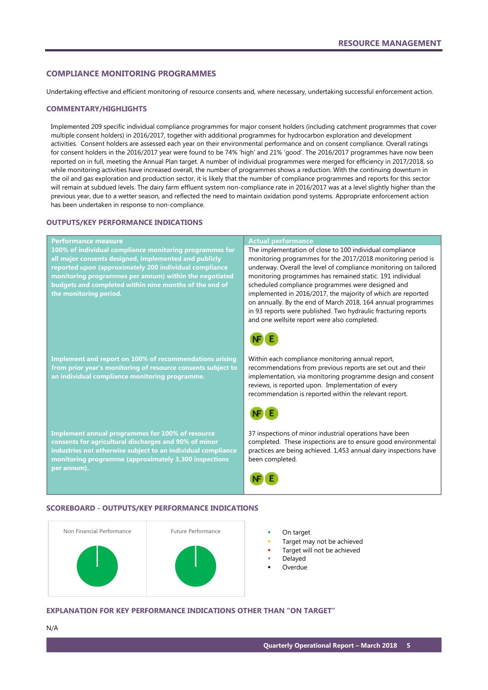# <span id="page-6-0"></span>**COMPLIANCE MONITORING PROGRAMMES**

Undertaking effective and efficient monitoring of resource consents and, where necessary, undertaking successful enforcement action.

### **COMMENTARY/HIGHLIGHTS**

Implemented 209 specific individual compliance programmes for major consent holders (including catchment programmes that cover multiple consent holders) in 2016/2017, together with additional programmes for hydrocarbon exploration and development activities. Consent holders are assessed each year on their environmental performance and on consent compliance. Overall ratings for consent holders in the 2016/2017 year were found to be 74% 'high' and 21% 'good'. The 2016/2017 programmes have now been reported on in full, meeting the Annual Plan target. A number of individual programmes were merged for efficiency in 2017/2018, so while monitoring activities have increased overall, the number of programmes shows a reduction. With the continuing downturn in the oil and gas exploration and production sector, it is likely that the number of compliance programmes and reports for this sector will remain at subdued levels. The dairy farm effluent system non-compliance rate in 2016/2017 was at a level slightly higher than the previous year, due to a wetter season, and reflected the need to maintain oxidation pond systems. Appropriate enforcement action has been undertaken in response to non-compliance.

# **OUTPUTS/KEY PERFORMANCE INDICATIONS**

| <b>Performance measure</b><br>100% of individual compliance monitoring programmes for<br>all major consents designed, implemented and publicly<br>reported upon (approximately 200 individual compliance<br>monitoring programmes per annum) within the negotiated<br>budgets and completed within nine months of the end of<br>the monitoring period. | <b>Actual performance</b><br>The implementation of close to 100 individual compliance<br>monitoring programmes for the 2017/2018 monitoring period is<br>underway. Overall the level of compliance monitoring on tailored<br>monitoring programmes has remained static. 191 individual<br>scheduled compliance programmes were designed and<br>implemented in 2016/2017, the majority of which are reported<br>on annually. By the end of March 2018, 164 annual programmes<br>in 93 reports were published. Two hydraulic fracturing reports<br>and one wellsite report were also completed. |
|--------------------------------------------------------------------------------------------------------------------------------------------------------------------------------------------------------------------------------------------------------------------------------------------------------------------------------------------------------|-----------------------------------------------------------------------------------------------------------------------------------------------------------------------------------------------------------------------------------------------------------------------------------------------------------------------------------------------------------------------------------------------------------------------------------------------------------------------------------------------------------------------------------------------------------------------------------------------|
| <b>Implement and report on 100% of recommendations arising</b><br>from prior year's monitoring of resource consents subject to<br>an individual compliance monitoring programme.                                                                                                                                                                       | Within each compliance monitoring annual report,<br>recommendations from previous reports are set out and their<br>implementation, via monitoring programme design and consent<br>reviews, is reported upon. Implementation of every<br>recommendation is reported within the relevant report.                                                                                                                                                                                                                                                                                                |
| <b>Implement annual programmes for 100% of resource</b><br>consents for agricultural discharges and 90% of minor<br>industries not otherwise subject to an individual compliance<br>monitoring programme (approximately 3,300 inspections<br>per annum).                                                                                               | 37 inspections of minor industrial operations have been<br>completed. These inspections are to ensure good environmental<br>practices are being achieved. 1,453 annual dairy inspections have<br>been completed.                                                                                                                                                                                                                                                                                                                                                                              |

## **SCOREBOARD - OUTPUTS/KEY PERFORMANCE INDICATIONS**



- 
- Target may not be achieved
- Target will not be achieved
- Delayed
- Overdue

### **EXPLANATION FOR KEY PERFORMANCE INDICATIONS OTHER THAN "ON TARGET"**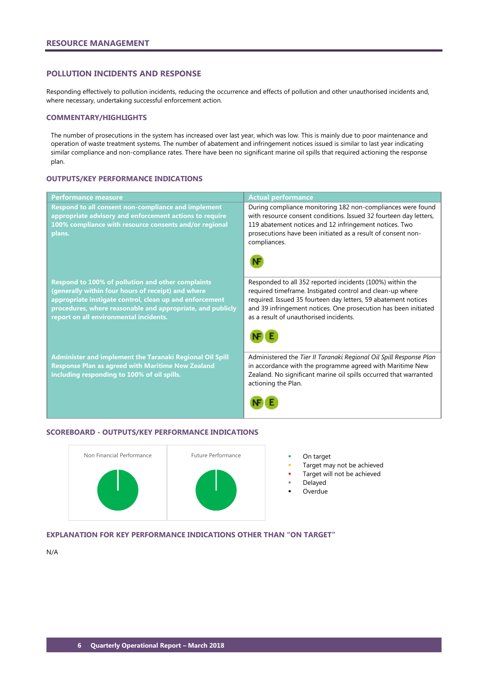# <span id="page-7-0"></span>**POLLUTION INCIDENTS AND RESPONSE**

Responding effectively to pollution incidents, reducing the occurrence and effects of pollution and other unauthorised incidents and, where necessary, undertaking successful enforcement action.

### **COMMENTARY/HIGHLIGHTS**

The number of prosecutions in the system has increased over last year, which was low. This is mainly due to poor maintenance and operation of waste treatment systems. The number of abatement and infringement notices issued is similar to last year indicating similar compliance and non-compliance rates. There have been no significant marine oil spills that required actioning the response plan.

### **OUTPUTS/KEY PERFORMANCE INDICATIONS**

| <b>Performance measure</b>                                                                                                                                                                                                                                                        | <b>Actual performance</b>                                                                                                                                                                                                                                                                             |
|-----------------------------------------------------------------------------------------------------------------------------------------------------------------------------------------------------------------------------------------------------------------------------------|-------------------------------------------------------------------------------------------------------------------------------------------------------------------------------------------------------------------------------------------------------------------------------------------------------|
| Respond to all consent non-compliance and implement<br>appropriate advisory and enforcement actions to require<br>100% compliance with resource consents and/or regional<br>plans.                                                                                                | During compliance monitoring 182 non-compliances were found<br>with resource consent conditions. Issued 32 fourteen day letters,<br>119 abatement notices and 12 infringement notices. Two<br>prosecutions have been initiated as a result of consent non-<br>compliances.                            |
| <b>Respond to 100% of pollution and other complaints</b><br>(generally within four hours of receipt) and where<br>appropriate instigate control, clean up and enforcement<br>procedures, where reasonable and appropriate, and publicly<br>report on all environmental incidents. | Responded to all 352 reported incidents (100%) within the<br>required timeframe. Instigated control and clean-up where<br>required. Issued 35 fourteen day letters, 59 abatement notices<br>and 39 infringement notices. One prosecution has been initiated<br>as a result of unauthorised incidents. |
| <b>Administer and implement the Taranaki Regional Oil Spill</b><br><b>Response Plan as agreed with Maritime New Zealand</b><br>including responding to 100% of oil spills.                                                                                                        | Administered the Tier II Taranaki Regional Oil Spill Response Plan<br>in accordance with the programme agreed with Maritime New<br>Zealand. No significant marine oil spills occurred that warranted<br>actioning the Plan.                                                                           |

### **SCOREBOARD - OUTPUTS/KEY PERFORMANCE INDICATIONS**



- 
- Target may not be achieved
- Target will not be achieved
- Delayed
- Overdue

# **EXPLANATION FOR KEY PERFORMANCE INDICATIONS OTHER THAN "ON TARGET"**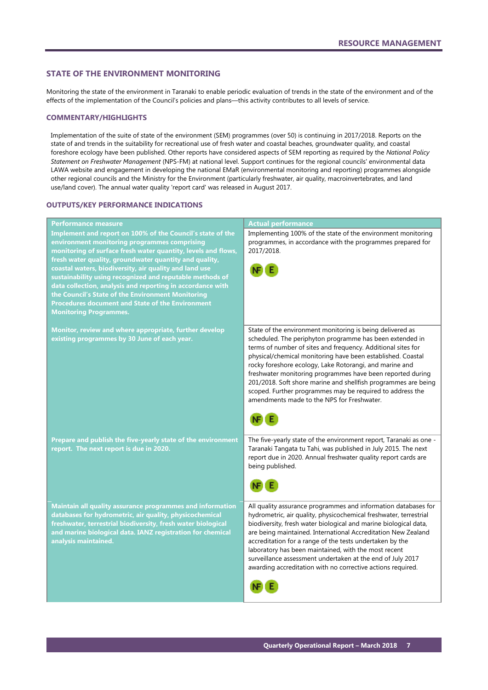# <span id="page-8-0"></span>**STATE OF THE ENVIRONMENT MONITORING**

Monitoring the state of the environment in Taranaki to enable periodic evaluation of trends in the state of the environment and of the effects of the implementation of the Council's policies and plans—this activity contributes to all levels of service.

# **COMMENTARY/HIGHLIGHTS**

Implementation of the suite of state of the environment (SEM) programmes (over 50) is continuing in 2017/2018. Reports on the state of and trends in the suitability for recreational use of fresh water and coastal beaches, groundwater quality, and coastal foreshore ecology have been published. Other reports have considered aspects of SEM reporting as required by the *National Policy Statement on Freshwater Management* (NPS-FM) at national level. Support continues for the regional councils' environmental data LAWA website and engagement in developing the national EMaR (environmental monitoring and reporting) programmes alongside other regional councils and the Ministry for the Environment (particularly freshwater, air quality, macroinvertebrates, and land use/land cover). The annual water quality 'report card' was released in August 2017.

### **OUTPUTS/KEY PERFORMANCE INDICATIONS**

| Performance measure                                                                | <b>Actual performance</b>                                                                                        |
|------------------------------------------------------------------------------------|------------------------------------------------------------------------------------------------------------------|
| Implement and report on 100% of the Council's state of the                         | Implementing 100% of the state of the environment monitoring                                                     |
| environment monitoring programmes comprising                                       | programmes, in accordance with the programmes prepared for                                                       |
| monitoring of surface fresh water quantity, levels and flows,                      | 2017/2018.                                                                                                       |
| fresh water quality, groundwater quantity and quality,                             |                                                                                                                  |
| coastal waters, biodiversity, air quality and land use                             |                                                                                                                  |
| sustainability using recognized and reputable methods of                           |                                                                                                                  |
| data collection, analysis and reporting in accordance with                         |                                                                                                                  |
| the Council's State of the Environment Monitoring                                  |                                                                                                                  |
| <b>Procedures document and State of the Environment</b>                            |                                                                                                                  |
| <b>Monitoring Programmes.</b>                                                      |                                                                                                                  |
|                                                                                    |                                                                                                                  |
| Monitor, review and where appropriate, further develop                             | State of the environment monitoring is being delivered as                                                        |
| existing programmes by 30 June of each year.                                       | scheduled. The periphyton programme has been extended in                                                         |
|                                                                                    | terms of number of sites and frequency. Additional sites for                                                     |
|                                                                                    | physical/chemical monitoring have been established. Coastal                                                      |
|                                                                                    | rocky foreshore ecology, Lake Rotorangi, and marine and                                                          |
|                                                                                    | freshwater monitoring programmes have been reported during                                                       |
|                                                                                    | 201/2018. Soft shore marine and shellfish programmes are being                                                   |
|                                                                                    | scoped. Further programmes may be required to address the                                                        |
|                                                                                    | amendments made to the NPS for Freshwater.                                                                       |
|                                                                                    |                                                                                                                  |
|                                                                                    |                                                                                                                  |
|                                                                                    |                                                                                                                  |
| Prepare and publish the five-yearly state of the environment                       | The five-yearly state of the environment report, Taranaki as one -                                               |
| report. The next report is due in 2020.                                            | Taranaki Tangata tu Tahi, was published in July 2015. The next                                                   |
|                                                                                    | report due in 2020. Annual freshwater quality report cards are                                                   |
|                                                                                    | being published.                                                                                                 |
|                                                                                    |                                                                                                                  |
|                                                                                    |                                                                                                                  |
|                                                                                    |                                                                                                                  |
| Maintain all quality assurance programmes and information                          | All quality assurance programmes and information databases for                                                   |
| databases for hydrometric, air quality, physicochemical                            |                                                                                                                  |
|                                                                                    |                                                                                                                  |
|                                                                                    | hydrometric, air quality, physicochemical freshwater, terrestrial                                                |
| freshwater, terrestrial biodiversity, fresh water biological                       | biodiversity, fresh water biological and marine biological data,                                                 |
| and marine biological data. IANZ registration for chemical<br>analysis maintained. | are being maintained. International Accreditation New Zealand                                                    |
|                                                                                    | accreditation for a range of the tests undertaken by the<br>laboratory has been maintained, with the most recent |
|                                                                                    | surveillance assessment undertaken at the end of July 2017                                                       |
|                                                                                    | awarding accreditation with no corrective actions required.                                                      |
|                                                                                    |                                                                                                                  |
|                                                                                    |                                                                                                                  |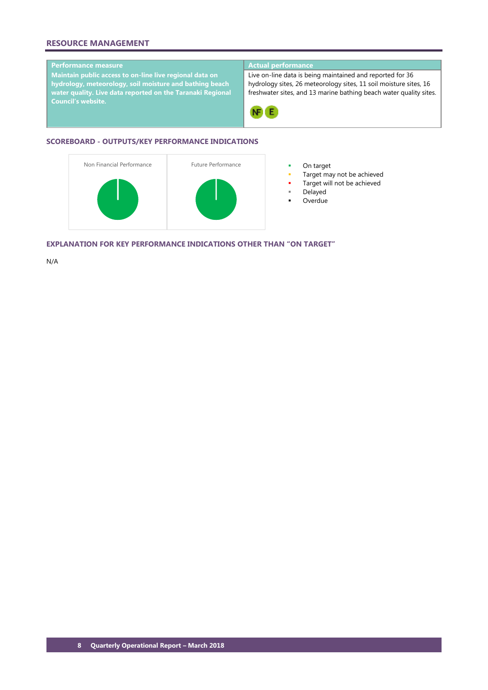# **RESOURCE MANAGEMENT**

# **Performance measure Actual performance**

**Maintain public access to on-line live regional data on hydrology, meteorology, soil moisture and bathing beach water quality. Live data reported on the Taranaki Regional Council's website.**

Live on-line data is being maintained and reported for 36 hydrology sites, 26 meteorology sites, 11 soil moisture sites, 16 freshwater sites, and 13 marine bathing beach water quality sites.



# **SCOREBOARD - OUTPUTS/KEY PERFORMANCE INDICATIONS**



- 
- Target may not be achieved
- Target will not be achieved
- Delayed
- **Overdue**

**EXPLANATION FOR KEY PERFORMANCE INDICATIONS OTHER THAN "ON TARGET"**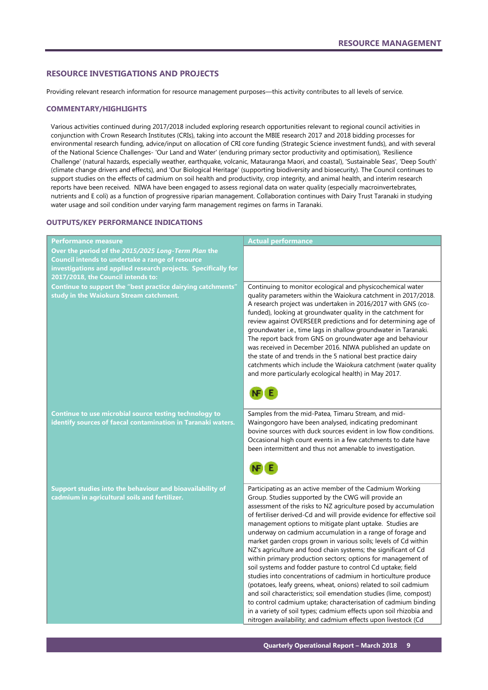# <span id="page-10-0"></span>**RESOURCE INVESTIGATIONS AND PROJECTS**

Providing relevant research information for resource management purposes—this activity contributes to all levels of service.

### **COMMENTARY/HIGHLIGHTS**

Various activities continued during 2017/2018 included exploring research opportunities relevant to regional council activities in conjunction with Crown Research Institutes (CRIs), taking into account the MBIE research 2017 and 2018 bidding processes for environmental research funding, advice/input on allocation of CRI core funding (Strategic Science investment funds), and with several of the National Science Challenges- 'Our Land and Water' (enduring primary sector productivity and optimisation), 'Resilience Challenge' (natural hazards, especially weather, earthquake, volcanic, Matauranga Maori, and coastal), 'Sustainable Seas', 'Deep South' (climate change drivers and effects), and 'Our Biological Heritage' (supporting biodiversity and biosecurity). The Council continues to support studies on the effects of cadmium on soil health and productivity, crop integrity, and animal health, and interim research reports have been received. NIWA have been engaged to assess regional data on water quality (especially macroinvertebrates, nutrients and E coli) as a function of progressive riparian management. Collaboration continues with Dairy Trust Taranaki in studying water usage and soil condition under varying farm management regimes on farms in Taranaki.

# **OUTPUTS/KEY PERFORMANCE INDICATIONS**

| <b>Performance measure</b>                                                                                                                                                                                      | <b>Actual performance</b>                                                                                                                                                                                                                                                                                                                                                                                                                                                                                                                                                                                                                                                                                                                                                                                                                                                                                                                                                                                                                                                   |
|-----------------------------------------------------------------------------------------------------------------------------------------------------------------------------------------------------------------|-----------------------------------------------------------------------------------------------------------------------------------------------------------------------------------------------------------------------------------------------------------------------------------------------------------------------------------------------------------------------------------------------------------------------------------------------------------------------------------------------------------------------------------------------------------------------------------------------------------------------------------------------------------------------------------------------------------------------------------------------------------------------------------------------------------------------------------------------------------------------------------------------------------------------------------------------------------------------------------------------------------------------------------------------------------------------------|
| Over the period of the 2015/2025 Long-Term Plan the<br>Council intends to undertake a range of resource<br>investigations and applied research projects. Specifically for<br>2017/2018, the Council intends to: |                                                                                                                                                                                                                                                                                                                                                                                                                                                                                                                                                                                                                                                                                                                                                                                                                                                                                                                                                                                                                                                                             |
| Continue to support the "best practice dairying catchments"<br>study in the Waiokura Stream catchment.                                                                                                          | Continuing to monitor ecological and physicochemical water<br>quality parameters within the Waiokura catchment in 2017/2018.<br>A research project was undertaken in 2016/2017 with GNS (co-<br>funded), looking at groundwater quality in the catchment for<br>review against OVERSEER predictions and for determining age of<br>groundwater i.e., time lags in shallow groundwater in Taranaki.<br>The report back from GNS on groundwater age and behaviour<br>was received in December 2016. NIWA published an update on<br>the state of and trends in the 5 national best practice dairy<br>catchments which include the Waiokura catchment (water quality<br>and more particularly ecological health) in May 2017.                                                                                                                                                                                                                                                                                                                                                    |
| Continue to use microbial source testing technology to<br>identify sources of faecal contamination in Taranaki waters.                                                                                          | Samples from the mid-Patea, Timaru Stream, and mid-<br>Waingongoro have been analysed, indicating predominant<br>bovine sources with duck sources evident in low flow conditions.<br>Occasional high count events in a few catchments to date have<br>been intermittent and thus not amenable to investigation.                                                                                                                                                                                                                                                                                                                                                                                                                                                                                                                                                                                                                                                                                                                                                             |
| Support studies into the behaviour and bioavailability of<br>cadmium in agricultural soils and fertilizer.                                                                                                      | Participating as an active member of the Cadmium Working<br>Group. Studies supported by the CWG will provide an<br>assessment of the risks to NZ agriculture posed by accumulation<br>of fertiliser derived-Cd and will provide evidence for effective soil<br>management options to mitigate plant uptake. Studies are<br>underway on cadmium accumulation in a range of forage and<br>market garden crops grown in various soils; levels of Cd within<br>NZ's agriculture and food chain systems; the significant of Cd<br>within primary production sectors; options for management of<br>soil systems and fodder pasture to control Cd uptake; field<br>studies into concentrations of cadmium in horticulture produce<br>(potatoes, leafy greens, wheat, onions) related to soil cadmium<br>and soil characteristics; soil emendation studies (lime, compost)<br>to control cadmium uptake; characterisation of cadmium binding<br>in a variety of soil types; cadmium effects upon soil rhizobia and<br>nitrogen availability; and cadmium effects upon livestock (Cd |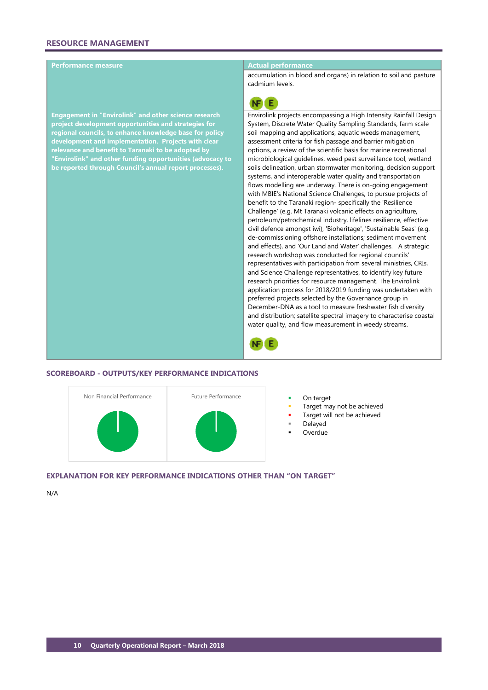# **Performance measure Actual performance**

**Engagement in "Envirolink" and other science research project development opportunities and strategies for regional councils, to enhance knowledge base for policy development and implementation. Projects with clear relevance and benefit to Taranaki to be adopted by "Envirolink" and other funding opportunities (advocacy to be reported through Council's annual report processes).**

accumulation in blood and organs) in relation to soil and pasture cadmium levels.



Envirolink projects encompassing a High Intensity Rainfall Design System, Discrete Water Quality Sampling Standards, farm scale soil mapping and applications, aquatic weeds management, assessment criteria for fish passage and barrier mitigation options, a review of the scientific basis for marine recreational microbiological guidelines, weed pest surveillance tool, wetland soils delineation, urban stormwater monitoring, decision support systems, and interoperable water quality and transportation flows modelling are underway. There is on-going engagement with MBIE's National Science Challenges, to pursue projects of benefit to the Taranaki region- specifically the 'Resilience Challenge' (e.g. Mt Taranaki volcanic effects on agriculture, petroleum/petrochemical industry, lifelines resilience, effective civil defence amongst iwi), 'Bioheritage', 'Sustainable Seas' (e.g. de-commissioning offshore installations; sediment movement and effects), and 'Our Land and Water' challenges. A strategic research workshop was conducted for regional councils' representatives with participation from several ministries, CRIs, and Science Challenge representatives, to identify key future research priorities for resource management. The Envirolink application process for 2018/2019 funding was undertaken with preferred projects selected by the Governance group in December-DNA as a tool to measure freshwater fish diversity and distribution; satellite spectral imagery to characterise coastal water quality, and flow measurement in weedy streams.



### **SCOREBOARD - OUTPUTS/KEY PERFORMANCE INDICATIONS**



- 
- Target may not be achieved
- Target will not be achieved
- Delayed
- Overdue

### **EXPLANATION FOR KEY PERFORMANCE INDICATIONS OTHER THAN "ON TARGET"**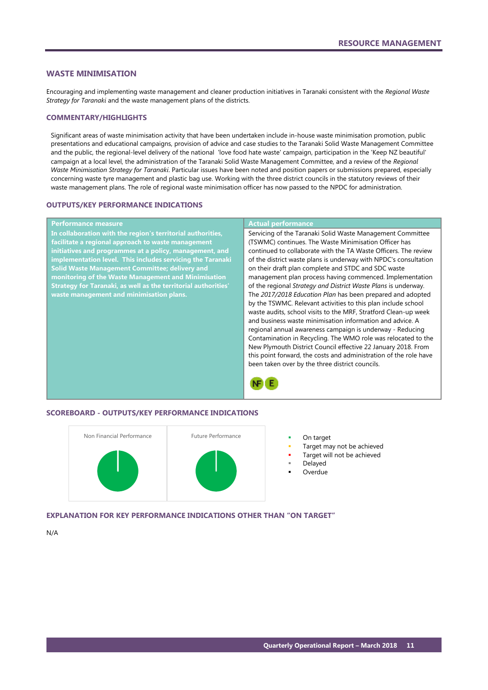### <span id="page-12-0"></span>**WASTE MINIMISATION**

Encouraging and implementing waste management and cleaner production initiatives in Taranaki consistent with the *Regional Waste Strategy for Taranaki* and the waste management plans of the districts.

### **COMMENTARY/HIGHLIGHTS**

Significant areas of waste minimisation activity that have been undertaken include in-house waste minimisation promotion, public presentations and educational campaigns, provision of advice and case studies to the Taranaki Solid Waste Management Committee and the public, the regional-level delivery of the national 'love food hate waste' campaign, participation in the 'Keep NZ beautiful' campaign at a local level, the administration of the Taranaki Solid Waste Management Committee, and a review of the *Regional Waste Minimisation Strategy for Taranaki*. Particular issues have been noted and position papers or submissions prepared, especially concerning waste tyre management and plastic bag use. Working with the three district councils in the statutory reviews of their waste management plans. The role of regional waste minimisation officer has now passed to the NPDC for administration.

### **OUTPUTS/KEY PERFORMANCE INDICATIONS**

### **Performance measure Actual performance**

**In collaboration with the region's territorial authorities, facilitate a regional approach to waste management initiatives and programmes at a policy, management, and implementation level. This includes servicing the Taranaki Solid Waste Management Committee; delivery and monitoring of the Waste Management and Minimisation Strategy for Taranaki, as well as the territorial authorities' waste management and minimisation plans.**

Servicing of the Taranaki Solid Waste Management Committee (TSWMC) continues. The Waste Minimisation Officer has continued to collaborate with the TA Waste Officers. The review of the district waste plans is underway with NPDC's consultation on their draft plan complete and STDC and SDC waste management plan process having commenced. Implementation of the regional *Strategy and District Waste Plans* is underway. The *2017/2018 Education Plan* has been prepared and adopted by the TSWMC. Relevant activities to this plan include school waste audits, school visits to the MRF, Stratford Clean-up week and business waste minimisation information and advice. A regional annual awareness campaign is underway - Reducing Contamination in Recycling. The WMO role was relocated to the New Plymouth District Council effective 22 January 2018. From this point forward, the costs and administration of the role have been taken over by the three district councils.



### **SCOREBOARD - OUTPUTS/KEY PERFORMANCE INDICATIONS**



- 
- Target may not be achieved
- Target will not be achieved
- Delayed
- Overdue

# **EXPLANATION FOR KEY PERFORMANCE INDICATIONS OTHER THAN "ON TARGET"**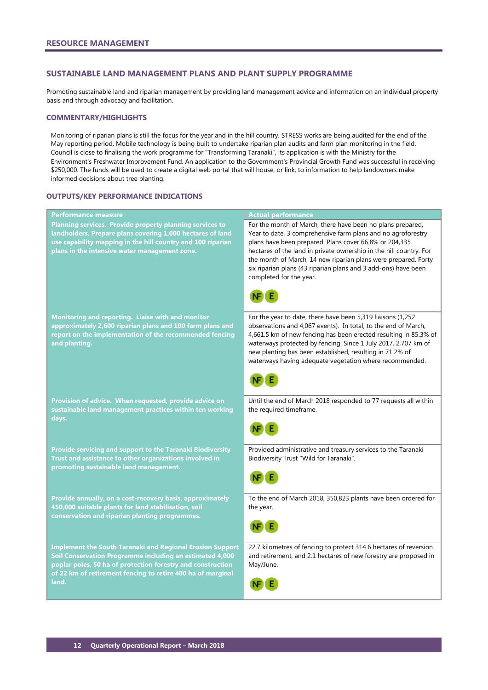# <span id="page-13-0"></span>**SUSTAINABLE LAND MANAGEMENT PLANS AND PLANT SUPPLY PROGRAMME**

Promoting sustainable land and riparian management by providing land management advice and information on an individual property basis and through advocacy and facilitation.

# **COMMENTARY/HIGHLIGHTS**

Monitoring of riparian plans is still the focus for the year and in the hill country. STRESS works are being audited for the end of the May reporting period. Mobile technology is being built to undertake riparian plan audits and farm plan monitoring in the field. Council is close to finalising the work programme for "Transforming Taranaki", its application is with the Ministry for the Environment's Freshwater Improvement Fund. An application to the Government's Provincial Growth Fund was successful in receiving \$250,000. The funds will be used to create a digital web portal that will house, or link, to information to help landowners make informed decisions about tree planting.

### **OUTPUTS/KEY PERFORMANCE INDICATIONS**

| <b>Performance measure</b>                                                                                                                                                                                                                                          | <b>Actual performance</b>                                                                                                                                                                                                                                                                                                                                                                                                 |
|---------------------------------------------------------------------------------------------------------------------------------------------------------------------------------------------------------------------------------------------------------------------|---------------------------------------------------------------------------------------------------------------------------------------------------------------------------------------------------------------------------------------------------------------------------------------------------------------------------------------------------------------------------------------------------------------------------|
| Planning services. Provide property planning services to<br>landholders. Prepare plans covering 1,000 hectares of land<br>use capability mapping in the hill country and 100 riparian<br>plans in the intensive water management zone.                              | For the month of March, there have been no plans prepared.<br>Year to date, 3 comprehensive farm plans and no agroforestry<br>plans have been prepared. Plans cover 66.8% or 204,335<br>hectares of the land in private ownership in the hill country. For<br>the month of March, 14 new riparian plans were prepared. Forty<br>six riparian plans (43 riparian plans and 3 add-ons) have been<br>completed for the year. |
| Monitoring and reporting. Liaise with and monitor<br>approximately 2,600 riparian plans and 100 farm plans and<br>report on the implementation of the recommended fencing<br>and planting.                                                                          | For the year to date, there have been 5,319 liaisons (1,252<br>observations and 4,067 events). In total, to the end of March,<br>4,661.5 km of new fencing has been erected resulting in 85.3% of<br>waterways protected by fencing. Since 1 July 2017, 2,707 km of<br>new planting has been established, resulting in 71.2% of<br>waterways having adequate vegetation where recommended.                                |
| Provision of advice. When requested, provide advice on<br>sustainable land management practices within ten working<br>days.                                                                                                                                         | Until the end of March 2018 responded to 77 requests all within<br>the required timeframe.                                                                                                                                                                                                                                                                                                                                |
| Provide servicing and support to the Taranaki Biodiversity<br>Trust and assistance to other organizations involved in<br>promoting sustainable land management.                                                                                                     | Provided administrative and treasury services to the Taranaki<br>Biodiversity Trust "Wild for Taranaki".                                                                                                                                                                                                                                                                                                                  |
| Provide annually, on a cost-recovery basis, approximately<br>450,000 suitable plants for land stabilisation, soil<br>conservation and riparian planting programmes.                                                                                                 | To the end of March 2018, 350,823 plants have been ordered for<br>the year.                                                                                                                                                                                                                                                                                                                                               |
| <b>Implement the South Taranaki and Regional Erosion Support</b><br>Soil Conservation Programme including an estimated 4,000<br>poplar poles, 50 ha of protection forestry and construction<br>of 22 km of retirement fencing to retire 400 ha of marginal<br>land. | 22.7 kilometres of fencing to protect 314.6 hectares of reversion<br>and retirement, and 2.1 hectares of new forestry are proposed in<br>May/June.                                                                                                                                                                                                                                                                        |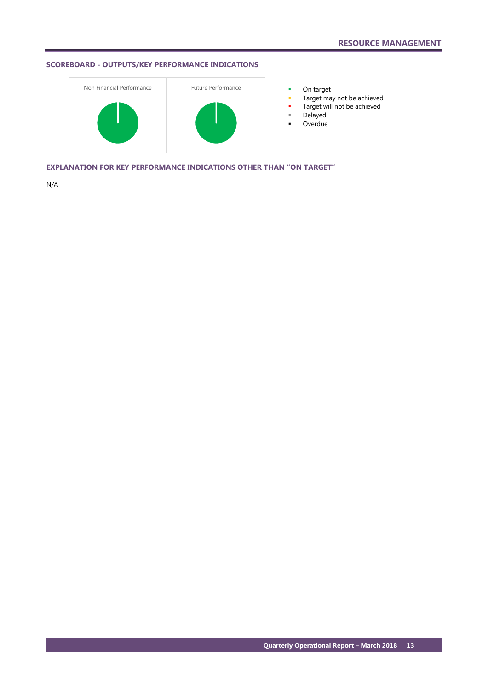# **SCOREBOARD - OUTPUTS/KEY PERFORMANCE INDICATIONS**



- 
- **Target may not be achieved**
- **Target will not be achieved**
- Delayed
- **-** Overdue

**EXPLANATION FOR KEY PERFORMANCE INDICATIONS OTHER THAN "ON TARGET"**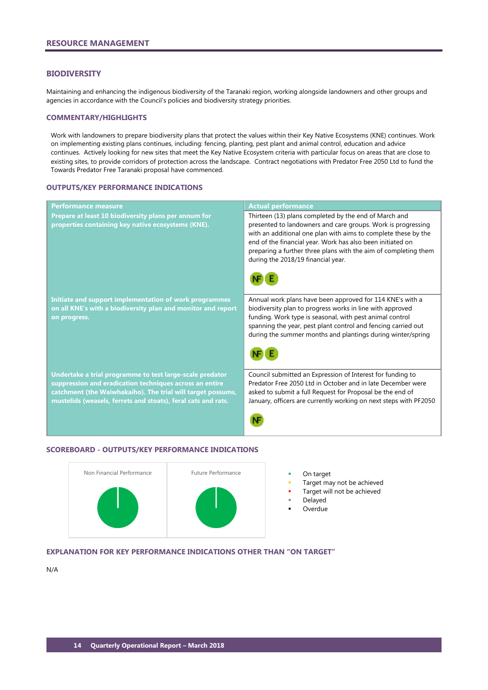### <span id="page-15-0"></span>**BIODIVERSITY**

Maintaining and enhancing the indigenous biodiversity of the Taranaki region, working alongside landowners and other groups and agencies in accordance with the Council's policies and biodiversity strategy priorities.

### **COMMENTARY/HIGHLIGHTS**

Work with landowners to prepare biodiversity plans that protect the values within their Key Native Ecosystems (KNE) continues. Work on implementing existing plans continues, including: fencing, planting, pest plant and animal control, education and advice continues. Actively looking for new sites that meet the Key Native Ecosystem criteria with particular focus on areas that are close to existing sites, to provide corridors of protection across the landscape. Contract negotiations with Predator Free 2050 Ltd to fund the Towards Predator Free Taranaki proposal have commenced.

## **OUTPUTS/KEY PERFORMANCE INDICATIONS**

| <b>Performance measure</b>                                                                                                                                                                                                                          | <b>Actual performance</b>                                                                                                                                                                                                                                                                                                                                      |
|-----------------------------------------------------------------------------------------------------------------------------------------------------------------------------------------------------------------------------------------------------|----------------------------------------------------------------------------------------------------------------------------------------------------------------------------------------------------------------------------------------------------------------------------------------------------------------------------------------------------------------|
| Prepare at least 10 biodiversity plans per annum for<br>properties containing key native ecosystems (KNE).                                                                                                                                          | Thirteen (13) plans completed by the end of March and<br>presented to landowners and care groups. Work is progressing<br>with an additional one plan with aims to complete these by the<br>end of the financial year. Work has also been initiated on<br>preparing a further three plans with the aim of completing them<br>during the 2018/19 financial year. |
| Initiate and support implementation of work programmes<br>on all KNE's with a biodiversity plan and monitor and report<br>on progress.                                                                                                              | Annual work plans have been approved for 114 KNE's with a<br>biodiversity plan to progress works in line with approved<br>funding. Work type is seasonal, with pest animal control<br>spanning the year, pest plant control and fencing carried out<br>during the summer months and plantings during winter/spring                                             |
| Undertake a trial programme to test large-scale predator<br>suppression and eradication techniques across an entire<br>catchment (the Waiwhakaiho). The trial will target possums,<br>mustelids (weasels, ferrets and stoats), feral cats and rats. | Council submitted an Expression of Interest for funding to<br>Predator Free 2050 Ltd in October and in late December were<br>asked to submit a full Request for Proposal be the end of<br>January, officers are currently working on next steps with PF2050                                                                                                    |

### **SCOREBOARD - OUTPUTS/KEY PERFORMANCE INDICATIONS**



- 
- Target may not be achieved
- Target will not be achieved
- Delayed
- Overdue

# **EXPLANATION FOR KEY PERFORMANCE INDICATIONS OTHER THAN "ON TARGET"**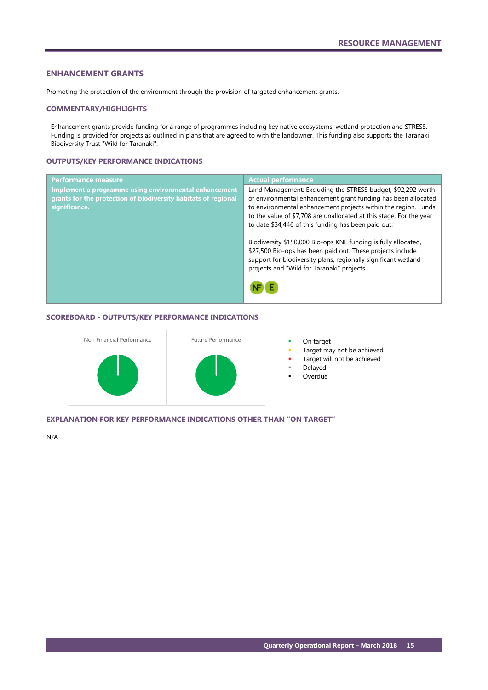# <span id="page-16-0"></span>**ENHANCEMENT GRANTS**

Promoting the protection of the environment through the provision of targeted enhancement grants.

### **COMMENTARY/HIGHLIGHTS**

Enhancement grants provide funding for a range of programmes including key native ecosystems, wetland protection and STRESS. Funding is provided for projects as outlined in plans that are agreed to with the landowner. This funding also supports the Taranaki Biodiversity Trust "Wild for Taranaki".

# **OUTPUTS/KEY PERFORMANCE INDICATIONS**

| <b>Performance measure</b>                                     | <b>Actual performance</b>                                                                                                                                                                                                                    |
|----------------------------------------------------------------|----------------------------------------------------------------------------------------------------------------------------------------------------------------------------------------------------------------------------------------------|
| Implement a programme using environmental enhancement          | Land Management: Excluding the STRESS budget, \$92,292 worth                                                                                                                                                                                 |
| grants for the protection of biodiversity habitats of regional | of environmental enhancement grant funding has been allocated                                                                                                                                                                                |
| significance.                                                  | to environmental enhancement projects within the region. Funds<br>to the value of \$7,708 are unallocated at this stage. For the year                                                                                                        |
|                                                                | to date \$34,446 of this funding has been paid out.                                                                                                                                                                                          |
|                                                                | Biodiversity \$150,000 Bio-ops KNE funding is fully allocated,<br>\$27,500 Bio-ops has been paid out. These projects include<br>support for biodiversity plans, regionally significant wetland<br>projects and "Wild for Taranaki" projects. |
|                                                                |                                                                                                                                                                                                                                              |

### **SCOREBOARD - OUTPUTS/KEY PERFORMANCE INDICATIONS**



- Target may not be achieved
- Target will not be achieved
	- Delayed
- Overdue

# **EXPLANATION FOR KEY PERFORMANCE INDICATIONS OTHER THAN "ON TARGET"**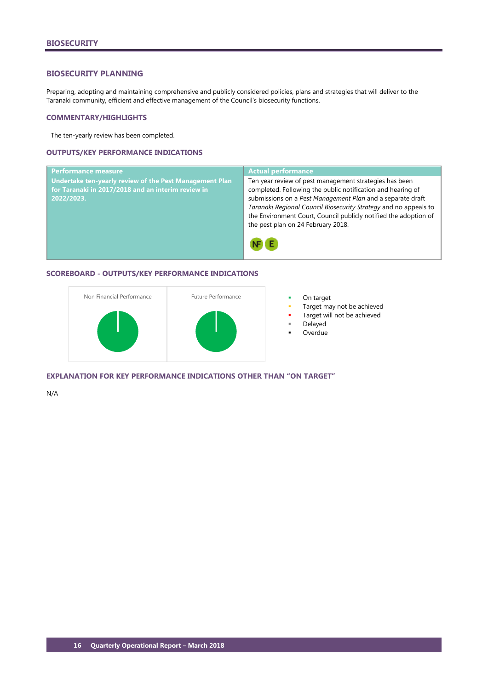# <span id="page-17-0"></span>**BIOSECURITY PLANNING**

Preparing, adopting and maintaining comprehensive and publicly considered policies, plans and strategies that will deliver to the Taranaki community, efficient and effective management of the Council's biosecurity functions.

### **COMMENTARY/HIGHLIGHTS**

The ten-yearly review has been completed.

# **OUTPUTS/KEY PERFORMANCE INDICATIONS**



# **SCOREBOARD - OUTPUTS/KEY PERFORMANCE INDICATIONS**



- 
- Target may not be achieved
- Target will not be achieved
- Delayed
- Overdue

**EXPLANATION FOR KEY PERFORMANCE INDICATIONS OTHER THAN "ON TARGET"**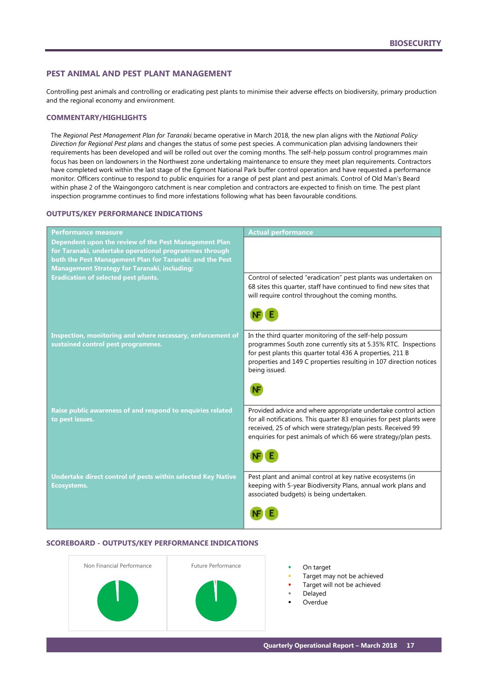# <span id="page-18-0"></span>**PEST ANIMAL AND PEST PLANT MANAGEMENT**

Controlling pest animals and controlling or eradicating pest plants to minimise their adverse effects on biodiversity, primary production and the regional economy and environment.

# **COMMENTARY/HIGHLIGHTS**

The *Regional Pest Management Plan for Taranaki* became operative in March 2018, the new plan aligns with the *National Policy Direction for Regional Pest plans* and changes the status of some pest species. A communication plan advising landowners their requirements has been developed and will be rolled out over the coming months. The self-help possum control programmes main focus has been on landowners in the Northwest zone undertaking maintenance to ensure they meet plan requirements. Contractors have completed work within the last stage of the Egmont National Park buffer control operation and have requested a performance monitor. Officers continue to respond to public enquiries for a range of pest plant and pest animals. Control of Old Man's Beard within phase 2 of the Waingongoro catchment is near completion and contractors are expected to finish on time. The pest plant inspection programme continues to find more infestations following what has been favourable conditions.

# **OUTPUTS/KEY PERFORMANCE INDICATIONS**

| <b>Performance measure</b>                                                                                                                                                                                                         | <b>Actual performance</b>                                                                                                                                                                                                                                                      |
|------------------------------------------------------------------------------------------------------------------------------------------------------------------------------------------------------------------------------------|--------------------------------------------------------------------------------------------------------------------------------------------------------------------------------------------------------------------------------------------------------------------------------|
| Dependent upon the review of the Pest Management Plan<br>for Taranaki, undertake operational programmes through<br>both the Pest Management Plan for Taranaki: and the Pest<br><b>Management Strategy for Taranaki, including:</b> |                                                                                                                                                                                                                                                                                |
| <b>Eradication of selected pest plants.</b>                                                                                                                                                                                        | Control of selected "eradication" pest plants was undertaken on<br>68 sites this quarter, staff have continued to find new sites that<br>will require control throughout the coming months.                                                                                    |
|                                                                                                                                                                                                                                    |                                                                                                                                                                                                                                                                                |
| Inspection, monitoring and where necessary, enforcement of<br>sustained control pest programmes.                                                                                                                                   | In the third quarter monitoring of the self-help possum<br>programmes South zone currently sits at 5.35% RTC. Inspections<br>for pest plants this quarter total 436 A properties, 211 B<br>properties and 149 C properties resulting in 107 direction notices<br>being issued. |
|                                                                                                                                                                                                                                    |                                                                                                                                                                                                                                                                                |
| Raise public awareness of and respond to enquiries related<br>to pest issues.                                                                                                                                                      | Provided advice and where appropriate undertake control action<br>for all notifications. This quarter 83 enquiries for pest plants were<br>received, 25 of which were strategy/plan pests. Received 99<br>enquiries for pest animals of which 66 were strategy/plan pests.     |
|                                                                                                                                                                                                                                    |                                                                                                                                                                                                                                                                                |
| Undertake direct control of pests within selected Key Native<br><b>Ecosystems.</b>                                                                                                                                                 | Pest plant and animal control at key native ecosystems (in<br>keeping with 5-year Biodiversity Plans, annual work plans and<br>associated budgets) is being undertaken.                                                                                                        |
|                                                                                                                                                                                                                                    |                                                                                                                                                                                                                                                                                |

# **SCOREBOARD - OUTPUTS/KEY PERFORMANCE INDICATIONS**



- 
- Target may not be achieved
- Target will not be achieved
- Delayed
- Overdue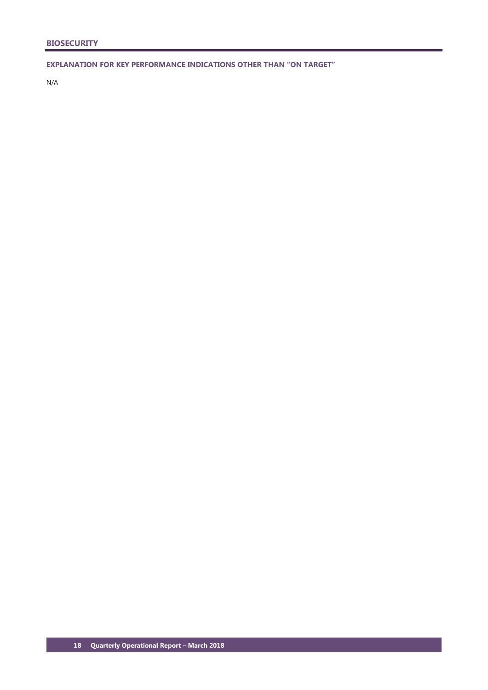**EXPLANATION FOR KEY PERFORMANCE INDICATIONS OTHER THAN "ON TARGET"**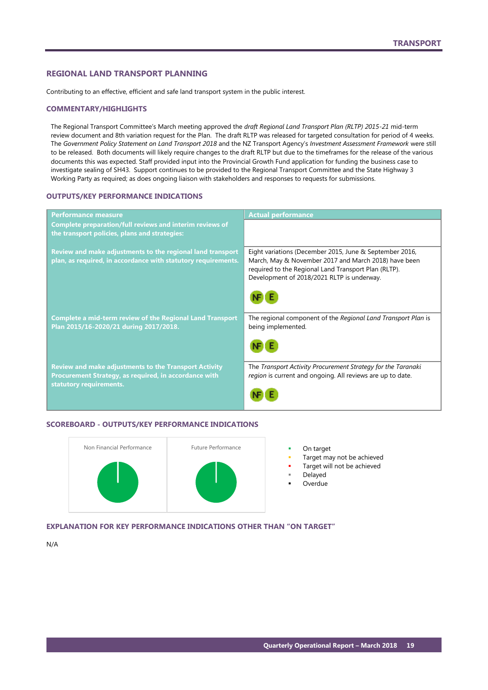### <span id="page-20-0"></span>**REGIONAL LAND TRANSPORT PLANNING**

Contributing to an effective, efficient and safe land transport system in the public interest.

### **COMMENTARY/HIGHLIGHTS**

The Regional Transport Committee's March meeting approved the *draft Regional Land Transport Plan (RLTP) 2015-21* mid-term review document and 8th variation request for the Plan. The draft RLTP was released for targeted consultation for period of 4 weeks. The *Government Policy Statement on Land Transport 2018* and the NZ Transport Agency's *Investment Assessment Framework* were still to be released. Both documents will likely require changes to the draft RLTP but due to the timeframes for the release of the various documents this was expected. Staff provided input into the Provincial Growth Fund application for funding the business case to investigate sealing of SH43. Support continues to be provided to the Regional Transport Committee and the State Highway 3 Working Party as required; as does ongoing liaison with stakeholders and responses to requests for submissions.

### **OUTPUTS/KEY PERFORMANCE INDICATIONS**

| <b>Performance measure</b>                                                                                                                       | <b>Actual performance</b>                                                                                                                                                                                             |
|--------------------------------------------------------------------------------------------------------------------------------------------------|-----------------------------------------------------------------------------------------------------------------------------------------------------------------------------------------------------------------------|
| <b>Complete preparation/full reviews and interim reviews of</b><br>the transport policies, plans and strategies:                                 |                                                                                                                                                                                                                       |
| Review and make adjustments to the regional land transport<br>plan, as required, in accordance with statutory requirements.                      | Eight variations (December 2015, June & September 2016,<br>March, May & November 2017 and March 2018) have been<br>required to the Regional Land Transport Plan (RLTP).<br>Development of 2018/2021 RLTP is underway. |
| <b>Complete a mid-term review of the Regional Land Transport</b><br>Plan 2015/16-2020/21 during 2017/2018.                                       | The regional component of the Regional Land Transport Plan is<br>being implemented.                                                                                                                                   |
| <b>Review and make adjustments to the Transport Activity</b><br>Procurement Strategy, as required, in accordance with<br>statutory requirements. | The Transport Activity Procurement Strategy for the Taranaki<br>region is current and ongoing. All reviews are up to date.                                                                                            |

### **SCOREBOARD - OUTPUTS/KEY PERFORMANCE INDICATIONS**



- Target may not be achieved
	- Target will not be achieved
	- Delayed
	- Overdue

**EXPLANATION FOR KEY PERFORMANCE INDICATIONS OTHER THAN "ON TARGET"**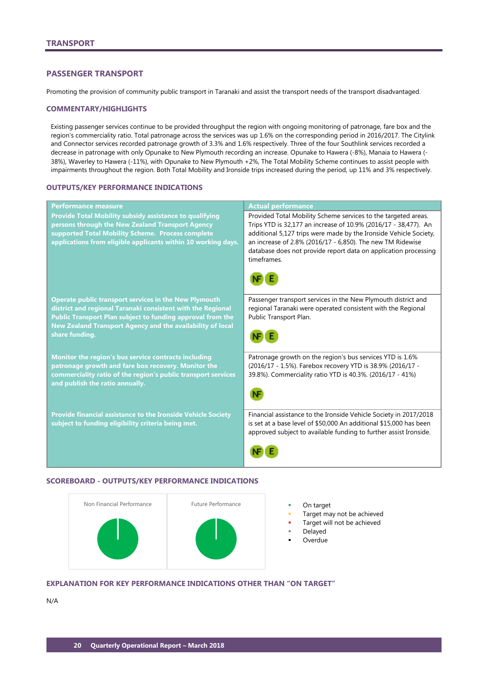# <span id="page-21-0"></span>**PASSENGER TRANSPORT**

Promoting the provision of community public transport in Taranaki and assist the transport needs of the transport disadvantaged.

### **COMMENTARY/HIGHLIGHTS**

Existing passenger services continue to be provided throughput the region with ongoing monitoring of patronage, fare box and the region's commerciality ratio. Total patronage across the services was up 1.6% on the corresponding period in 2016/2017. The Citylink and Connector services recorded patronage growth of 3.3% and 1.6% respectively. Three of the four Southlink services recorded a decrease in patronage with only Opunake to New Plymouth recording an increase. Opunake to Hawera (-8%), Manaia to Hawera (- 38%), Waverley to Hawera (-11%), with Opunake to New Plymouth +2%, The Total Mobility Scheme continues to assist people with impairments throughout the region. Both Total Mobility and Ironside trips increased during the period, up 11% and 3% respectively.

# **OUTPUTS/KEY PERFORMANCE INDICATIONS**

| <b>Performance measure</b>                                                                                                                                                                                                                                                | <b>Actual performance</b>                                                                                                                                                                                                                                                                                                                              |
|---------------------------------------------------------------------------------------------------------------------------------------------------------------------------------------------------------------------------------------------------------------------------|--------------------------------------------------------------------------------------------------------------------------------------------------------------------------------------------------------------------------------------------------------------------------------------------------------------------------------------------------------|
| <b>Provide Total Mobility subsidy assistance to qualifying</b><br>persons through the New Zealand Transport Agency<br>supported Total Mobility Scheme. Process complete<br>applications from eligible applicants within 10 working days.                                  | Provided Total Mobility Scheme services to the targeted areas.<br>Trips YTD is 32,177 an increase of 10.9% (2016/17 - 38,477). An<br>additional 5,127 trips were made by the Ironside Vehicle Society,<br>an increase of 2.8% (2016/17 - 6,850). The new TM Ridewise<br>database does not provide report data on application processing<br>timeframes. |
|                                                                                                                                                                                                                                                                           |                                                                                                                                                                                                                                                                                                                                                        |
| <b>Operate public transport services in the New Plymouth</b><br>district and regional Taranaki consistent with the Regional<br>Public Transport Plan subject to funding approval from the<br>New Zealand Transport Agency and the availability of local<br>share funding. | Passenger transport services in the New Plymouth district and<br>regional Taranaki were operated consistent with the Regional<br>Public Transport Plan.                                                                                                                                                                                                |
| Monitor the region's bus service contracts including<br>patronage growth and fare box recovery. Monitor the<br>commerciality ratio of the region's public transport services<br>and publish the ratio annually.                                                           | Patronage growth on the region's bus services YTD is 1.6%<br>(2016/17 - 1.5%). Farebox recovery YTD is 38.9% (2016/17 -<br>39.8%). Commerciality ratio YTD is 40.3%. (2016/17 - 41%)                                                                                                                                                                   |
| <b>Provide financial assistance to the Ironside Vehicle Society</b><br>subject to funding eligibility criteria being met.                                                                                                                                                 | Financial assistance to the Ironside Vehicle Society in 2017/2018<br>is set at a base level of \$50,000 An additional \$15,000 has been<br>approved subject to available funding to further assist Ironside.                                                                                                                                           |
|                                                                                                                                                                                                                                                                           |                                                                                                                                                                                                                                                                                                                                                        |

# **SCOREBOARD - OUTPUTS/KEY PERFORMANCE INDICATIONS**



- 
- Target may not be achieved
- Target will not be achieved
- Delayed
- Overdue

# **EXPLANATION FOR KEY PERFORMANCE INDICATIONS OTHER THAN "ON TARGET"**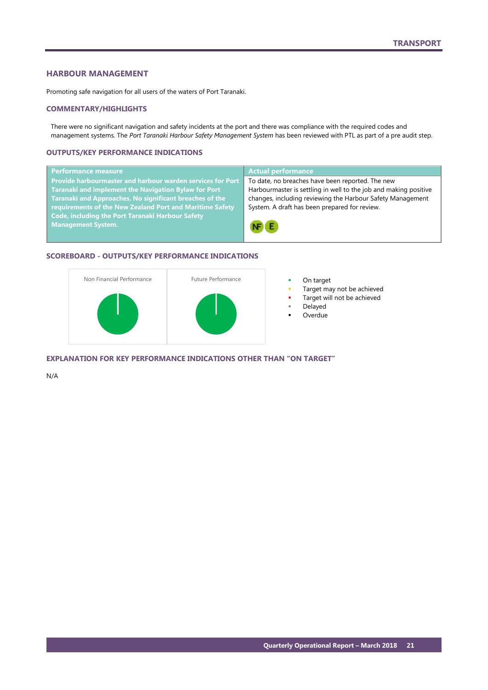# <span id="page-22-0"></span>**HARBOUR MANAGEMENT**

Promoting safe navigation for all users of the waters of Port Taranaki.

### **COMMENTARY/HIGHLIGHTS**

There were no significant navigation and safety incidents at the port and there was compliance with the required codes and management systems. The *Port Taranaki Harbour Safety Management System* has been reviewed with PTL as part of a pre audit step.

# **OUTPUTS/KEY PERFORMANCE INDICATIONS**

| Performance measure                                        | <b>Actual performance</b>                                        |
|------------------------------------------------------------|------------------------------------------------------------------|
| Provide harbourmaster and harbour warden services for Port | To date, no breaches have been reported. The new                 |
| Taranaki and implement the Navigation Bylaw for Port       | Harbourmaster is settling in well to the job and making positive |
| Taranaki and Approaches. No significant breaches of the    | changes, including reviewing the Harbour Safety Management       |
| requirements of the New Zealand Port and Maritime Safety   | System. A draft has been prepared for review.                    |
| <b>Code, including the Port Taranaki Harbour Safety</b>    |                                                                  |
| <b>Management System.</b>                                  | NF E                                                             |

### **SCOREBOARD - OUTPUTS/KEY PERFORMANCE INDICATIONS**



- 
- Target may not be achieved
- Target will not be achieved
- Delayed
- Overdue

**EXPLANATION FOR KEY PERFORMANCE INDICATIONS OTHER THAN "ON TARGET"**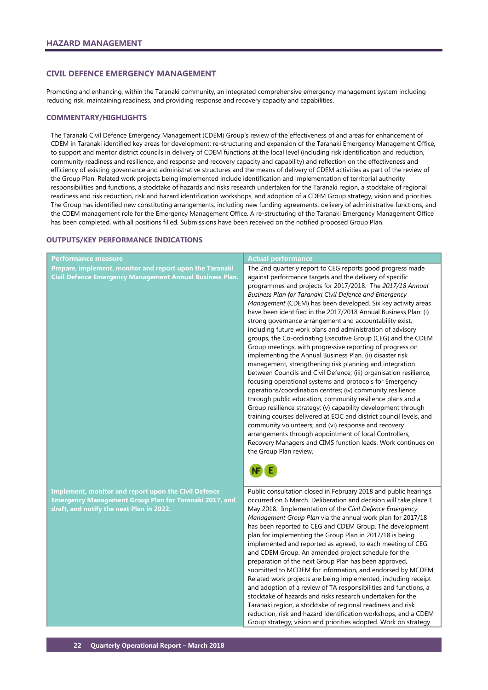# <span id="page-23-0"></span>**CIVIL DEFENCE EMERGENCY MANAGEMENT**

Promoting and enhancing, within the Taranaki community, an integrated comprehensive emergency management system including reducing risk, maintaining readiness, and providing response and recovery capacity and capabilities.

### **COMMENTARY/HIGHLIGHTS**

The Taranaki Civil Defence Emergency Management (CDEM) Group's review of the effectiveness of and areas for enhancement of CDEM in Taranaki identified key areas for development: re-structuring and expansion of the Taranaki Emergency Management Office, to support and mentor district councils in delivery of CDEM functions at the local level (including risk identification and reduction, community readiness and resilience, and response and recovery capacity and capability) and reflection on the effectiveness and efficiency of existing governance and administrative structures and the means of delivery of CDEM activities as part of the review of the Group Plan. Related work projects being implemented include identification and implementation of territorial authority responsibilities and functions, a stocktake of hazards and risks research undertaken for the Taranaki region, a stocktake of regional readiness and risk reduction, risk and hazard identification workshops, and adoption of a CDEM Group strategy, vision and priorities. The Group has identified new constituting arrangements, including new funding agreements, delivery of administrative functions, and the CDEM management role for the Emergency Management Office. A re-structuring of the Taranaki Emergency Management Office has been completed, with all positions filled. Submissions have been received on the notified proposed Group Plan.

### **OUTPUTS/KEY PERFORMANCE INDICATIONS**

| <b>Performance measure</b>                                                                                                                                        | <b>Actual performance</b>                                                                                                                                                                                                                                                                                                                                                                                                                                                                                                                                                                                                                                                                                                                                                                                                                                                                                                                                                                                                                                                                                                                                                                                                                                                                                                                                                       |
|-------------------------------------------------------------------------------------------------------------------------------------------------------------------|---------------------------------------------------------------------------------------------------------------------------------------------------------------------------------------------------------------------------------------------------------------------------------------------------------------------------------------------------------------------------------------------------------------------------------------------------------------------------------------------------------------------------------------------------------------------------------------------------------------------------------------------------------------------------------------------------------------------------------------------------------------------------------------------------------------------------------------------------------------------------------------------------------------------------------------------------------------------------------------------------------------------------------------------------------------------------------------------------------------------------------------------------------------------------------------------------------------------------------------------------------------------------------------------------------------------------------------------------------------------------------|
| Prepare, implement, monitor and report upon the Taranaki<br>Civil Defence Emergency Management Annual Business Plan.                                              | The 2nd quarterly report to CEG reports good progress made<br>against performance targets and the delivery of specific<br>programmes and projects for 2017/2018. The 2017/18 Annual<br>Business Plan for Taranaki Civil Defence and Emergency<br>Management (CDEM) has been developed. Six key activity areas<br>have been identified in the 2017/2018 Annual Business Plan: (i)<br>strong governance arrangement and accountability exist,<br>including future work plans and administration of advisory<br>groups, the Co-ordinating Executive Group (CEG) and the CDEM<br>Group meetings, with progressive reporting of progress on<br>implementing the Annual Business Plan. (ii) disaster risk<br>management, strengthening risk planning and integration<br>between Councils and Civil Defence; (iii) organisation resilience,<br>focusing operational systems and protocols for Emergency<br>operations/coordination centres; (iv) community resilience<br>through public education, community resilience plans and a<br>Group resilience strategy; (v) capability development through<br>training courses delivered at EOC and district council levels, and<br>community volunteers; and (vi) response and recovery<br>arrangements through appointment of local Controllers,<br>Recovery Managers and CIMS function leads. Work continues on<br>the Group Plan review. |
| <b>Implement, monitor and report upon the Civil Defence</b><br>Emergency Management Group Plan for Taranaki 2017, and<br>draft, and notify the next Plan in 2022. | Public consultation closed in February 2018 and public hearings<br>occurred on 6 March. Deliberation and decision will take place 1<br>May 2018. Implementation of the Civil Defence Emergency<br>Management Group Plan via the annual work plan for 2017/18<br>has been reported to CEG and CDEM Group. The development<br>plan for implementing the Group Plan in 2017/18 is being<br>implemented and reported as agreed, to each meeting of CEG<br>and CDEM Group. An amended project schedule for the<br>preparation of the next Group Plan has been approved,<br>submitted to MCDEM for information, and endorsed by MCDEM.<br>Related work projects are being implemented, including receipt<br>and adoption of a review of TA responsibilities and functions, a<br>stocktake of hazards and risks research undertaken for the<br>Taranaki region, a stocktake of regional readiness and risk<br>reduction, risk and hazard identification workshops, and a CDEM<br>Group strategy, vision and priorities adopted. Work on strategy                                                                                                                                                                                                                                                                                                                                       |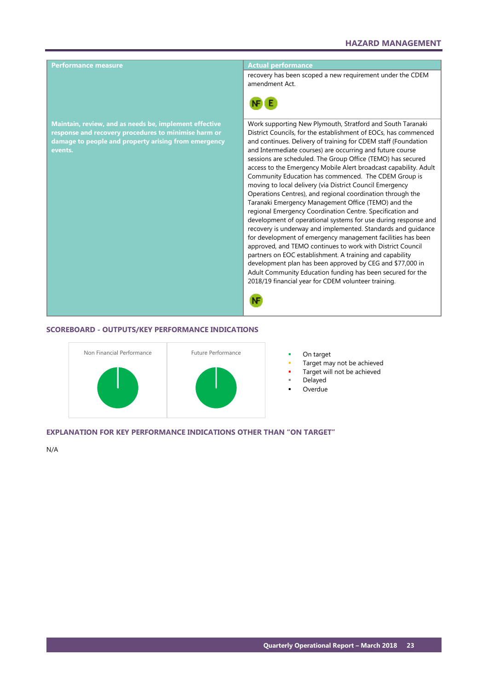

### **SCOREBOARD - OUTPUTS/KEY PERFORMANCE INDICATIONS**



- 
- Target may not be achieved
- Target will not be achieved
- Delayed
- Overdue

### **EXPLANATION FOR KEY PERFORMANCE INDICATIONS OTHER THAN "ON TARGET"**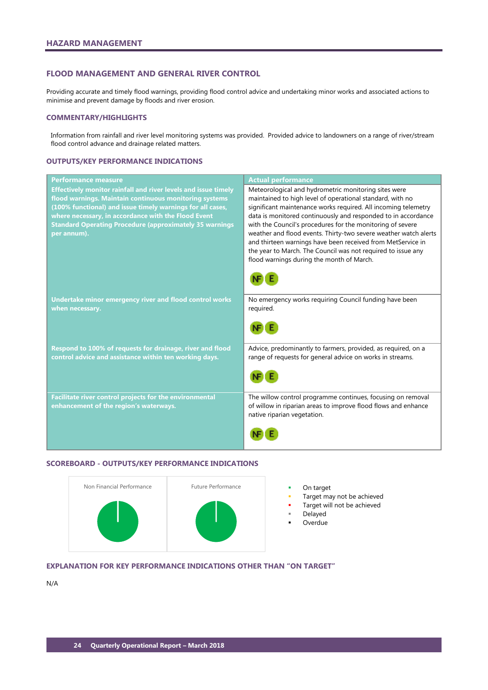# <span id="page-25-0"></span>**FLOOD MANAGEMENT AND GENERAL RIVER CONTROL**

Providing accurate and timely flood warnings, providing flood control advice and undertaking minor works and associated actions to minimise and prevent damage by floods and river erosion.

### **COMMENTARY/HIGHLIGHTS**

Information from rainfall and river level monitoring systems was provided. Provided advice to landowners on a range of river/stream flood control advance and drainage related matters.

# **OUTPUTS/KEY PERFORMANCE INDICATIONS**

| <b>Performance measure</b>                                                                                                                                                                                                                                                                                                     | <b>Actual performance</b>                                                                                                                                                                                                                                                                                                                                                                                                                                                                                                                                          |
|--------------------------------------------------------------------------------------------------------------------------------------------------------------------------------------------------------------------------------------------------------------------------------------------------------------------------------|--------------------------------------------------------------------------------------------------------------------------------------------------------------------------------------------------------------------------------------------------------------------------------------------------------------------------------------------------------------------------------------------------------------------------------------------------------------------------------------------------------------------------------------------------------------------|
| Effectively monitor rainfall and river levels and issue timely<br>flood warnings. Maintain continuous monitoring systems<br>(100% functional) and issue timely warnings for all cases,<br>where necessary, in accordance with the Flood Event<br><b>Standard Operating Procedure (approximately 35 warnings</b><br>per annum). | Meteorological and hydrometric monitoring sites were<br>maintained to high level of operational standard, with no<br>significant maintenance works required. All incoming telemetry<br>data is monitored continuously and responded to in accordance<br>with the Council's procedures for the monitoring of severe<br>weather and flood events. Thirty-two severe weather watch alerts<br>and thirteen warnings have been received from MetService in<br>the year to March. The Council was not required to issue any<br>flood warnings during the month of March. |
| Undertake minor emergency river and flood control works<br>when necessary.                                                                                                                                                                                                                                                     | No emergency works requiring Council funding have been<br>required.                                                                                                                                                                                                                                                                                                                                                                                                                                                                                                |
| Respond to 100% of requests for drainage, river and flood<br>control advice and assistance within ten working days.                                                                                                                                                                                                            | Advice, predominantly to farmers, provided, as required, on a<br>range of requests for general advice on works in streams.                                                                                                                                                                                                                                                                                                                                                                                                                                         |
| Facilitate river control projects for the environmental<br>enhancement of the region's waterways.                                                                                                                                                                                                                              | The willow control programme continues, focusing on removal<br>of willow in riparian areas to improve flood flows and enhance<br>native riparian vegetation.                                                                                                                                                                                                                                                                                                                                                                                                       |

# **SCOREBOARD - OUTPUTS/KEY PERFORMANCE INDICATIONS**



- 
- Target may not be achieved
- Target will not be achieved
- Delayed
- Overdue

# **EXPLANATION FOR KEY PERFORMANCE INDICATIONS OTHER THAN "ON TARGET"**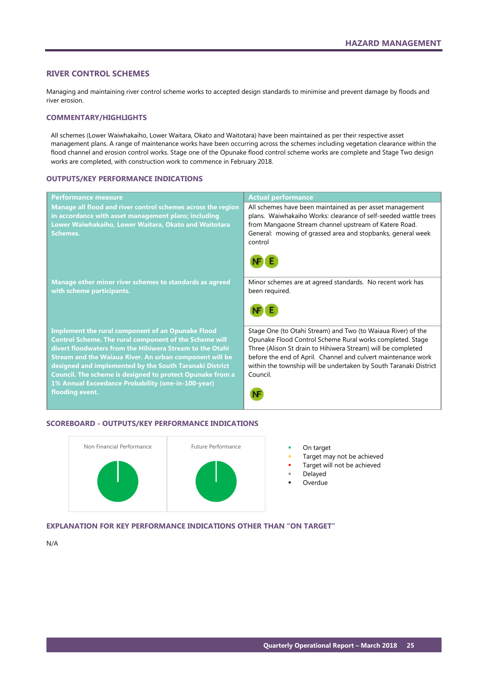# <span id="page-26-0"></span>**RIVER CONTROL SCHEMES**

Managing and maintaining river control scheme works to accepted design standards to minimise and prevent damage by floods and river erosion.

# **COMMENTARY/HIGHLIGHTS**

All schemes (Lower Waiwhakaiho, Lower Waitara, Okato and Waitotara) have been maintained as per their respective asset management plans. A range of maintenance works have been occurring across the schemes including vegetation clearance within the flood channel and erosion control works. Stage one of the Opunake flood control scheme works are complete and Stage Two design works are completed, with construction work to commence in February 2018.

### **OUTPUTS/KEY PERFORMANCE INDICATIONS**

| <b>Actual performance</b>                                                                                                                                                                                                                                                                                                                   |
|---------------------------------------------------------------------------------------------------------------------------------------------------------------------------------------------------------------------------------------------------------------------------------------------------------------------------------------------|
| All schemes have been maintained as per asset management<br>plans. Waiwhakaiho Works: clearance of self-seeded wattle trees                                                                                                                                                                                                                 |
| from Mangaone Stream channel upstream of Katere Road.<br>General: mowing of grassed area and stopbanks, general week<br>control                                                                                                                                                                                                             |
|                                                                                                                                                                                                                                                                                                                                             |
| Minor schemes are at agreed standards. No recent work has<br>been required.                                                                                                                                                                                                                                                                 |
|                                                                                                                                                                                                                                                                                                                                             |
| Stage One (to Otahi Stream) and Two (to Waiaua River) of the<br>Opunake Flood Control Scheme Rural works completed. Stage<br>Three (Alison St drain to Hihiwera Stream) will be completed<br>before the end of April. Channel and culvert maintenance work<br>within the township will be undertaken by South Taranaki District<br>Council. |
|                                                                                                                                                                                                                                                                                                                                             |

# **SCOREBOARD - OUTPUTS/KEY PERFORMANCE INDICATIONS**



- 
- Target may not be achieved
- Target will not be achieved
- Delayed
- Overdue

# **EXPLANATION FOR KEY PERFORMANCE INDICATIONS OTHER THAN "ON TARGET"**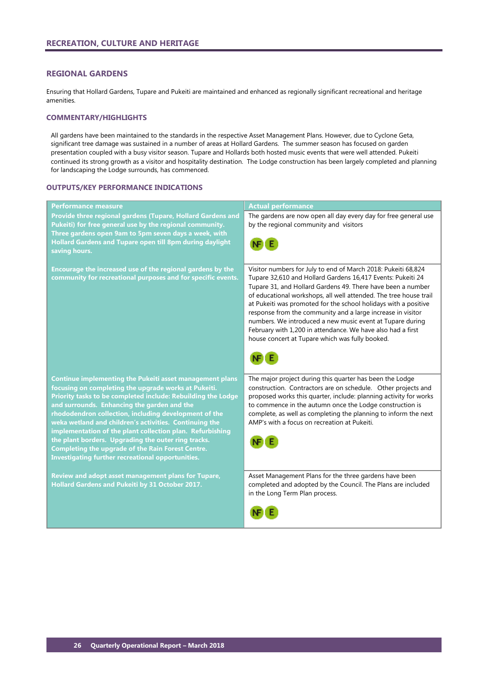# <span id="page-27-0"></span>**REGIONAL GARDENS**

Ensuring that Hollard Gardens, Tupare and Pukeiti are maintained and enhanced as regionally significant recreational and heritage amenities.

# **COMMENTARY/HIGHLIGHTS**

All gardens have been maintained to the standards in the respective Asset Management Plans. However, due to Cyclone Geta, significant tree damage was sustained in a number of areas at Hollard Gardens. The summer season has focused on garden presentation coupled with a busy visitor season. Tupare and Hollards both hosted music events that were well attended. Pukeiti continued its strong growth as a visitor and hospitality destination. The Lodge construction has been largely completed and planning for landscaping the Lodge surrounds, has commenced.

### **OUTPUTS/KEY PERFORMANCE INDICATIONS**

| Performance measure                                                                                                                                                                                                                                                                                                                                       | <b>Actual performance</b>                                                                                                                                                                                                                                                                                                                                                                                                                                                                                                                                                         |
|-----------------------------------------------------------------------------------------------------------------------------------------------------------------------------------------------------------------------------------------------------------------------------------------------------------------------------------------------------------|-----------------------------------------------------------------------------------------------------------------------------------------------------------------------------------------------------------------------------------------------------------------------------------------------------------------------------------------------------------------------------------------------------------------------------------------------------------------------------------------------------------------------------------------------------------------------------------|
| Provide three regional gardens (Tupare, Hollard Gardens and<br>Pukeiti) for free general use by the regional community.<br>Three gardens open 9am to 5pm seven days a week, with                                                                                                                                                                          | The gardens are now open all day every day for free general use<br>by the regional community and visitors                                                                                                                                                                                                                                                                                                                                                                                                                                                                         |
| <b>Hollard Gardens and Tupare open till 8pm during daylight</b><br>saving hours.                                                                                                                                                                                                                                                                          |                                                                                                                                                                                                                                                                                                                                                                                                                                                                                                                                                                                   |
| Encourage the increased use of the regional gardens by the<br>community for recreational purposes and for specific events.                                                                                                                                                                                                                                | Visitor numbers for July to end of March 2018: Pukeiti 68,824<br>Tupare 32,610 and Hollard Gardens 16,417 Events: Pukeiti 24<br>Tupare 31, and Hollard Gardens 49. There have been a number<br>of educational workshops, all well attended. The tree house trail<br>at Pukeiti was promoted for the school holidays with a positive<br>response from the community and a large increase in visitor<br>numbers. We introduced a new music event at Tupare during<br>February with 1,200 in attendance. We have also had a first<br>house concert at Tupare which was fully booked. |
| <b>Continue implementing the Pukeiti asset management plans</b><br>focusing on completing the upgrade works at Pukeiti.<br>Priority tasks to be completed include: Rebuilding the Lodge<br>and surrounds. Enhancing the garden and the<br>rhododendron collection, including development of the<br>weka wetland and children's activities. Continuing the | The major project during this quarter has been the Lodge<br>construction. Contractors are on schedule. Other projects and<br>proposed works this quarter, include: planning activity for works<br>to commence in the autumn once the Lodge construction is<br>complete, as well as completing the planning to inform the next<br>AMP's with a focus on recreation at Pukeiti.                                                                                                                                                                                                     |
| implementation of the plant collection plan. Refurbishing<br>the plant borders. Upgrading the outer ring tracks.<br><b>Completing the upgrade of the Rain Forest Centre.</b><br><b>Investigating further recreational opportunities.</b>                                                                                                                  |                                                                                                                                                                                                                                                                                                                                                                                                                                                                                                                                                                                   |
| Review and adopt asset management plans for Tupare,<br><b>Hollard Gardens and Pukeiti by 31 October 2017.</b>                                                                                                                                                                                                                                             | Asset Management Plans for the three gardens have been<br>completed and adopted by the Council. The Plans are included<br>in the Long Term Plan process.                                                                                                                                                                                                                                                                                                                                                                                                                          |
|                                                                                                                                                                                                                                                                                                                                                           |                                                                                                                                                                                                                                                                                                                                                                                                                                                                                                                                                                                   |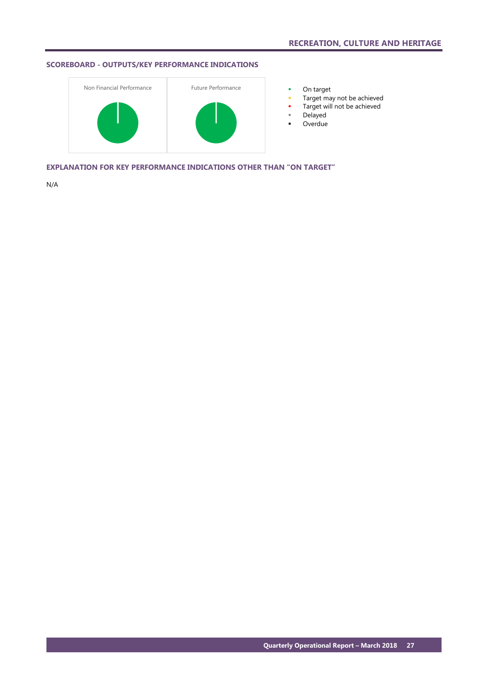# **SCOREBOARD - OUTPUTS/KEY PERFORMANCE INDICATIONS**



- 
- **Target may not be achieved**
- **Target will not be achieved**
- Delayed
- **-** Overdue

**EXPLANATION FOR KEY PERFORMANCE INDICATIONS OTHER THAN "ON TARGET"**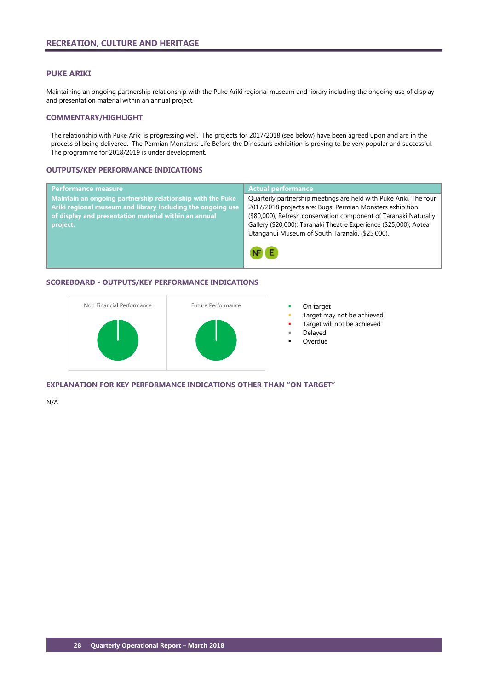### <span id="page-29-0"></span>**PUKE ARIKI**

Maintaining an ongoing partnership relationship with the Puke Ariki regional museum and library including the ongoing use of display and presentation material within an annual project.

# **COMMENTARY/HIGHLIGHT**

The relationship with Puke Ariki is progressing well. The projects for 2017/2018 (see below) have been agreed upon and are in the process of being delivered. The Permian Monsters: Life Before the Dinosaurs exhibition is proving to be very popular and successful. The programme for 2018/2019 is under development.

# **OUTPUTS/KEY PERFORMANCE INDICATIONS**

| <b>Performance measure</b>                                  | <b>Actual performance</b>                                         |
|-------------------------------------------------------------|-------------------------------------------------------------------|
| Maintain an ongoing partnership relationship with the Puke  | Quarterly partnership meetings are held with Puke Ariki. The four |
| Ariki regional museum and library including the ongoing use | 2017/2018 projects are: Bugs: Permian Monsters exhibition         |
| of display and presentation material within an annual       | (\$80,000); Refresh conservation component of Taranaki Naturally  |
| project.                                                    | Gallery (\$20,000); Taranaki Theatre Experience (\$25,000); Aotea |
|                                                             | Utanganui Museum of South Taranaki. (\$25,000).                   |
|                                                             |                                                                   |
|                                                             |                                                                   |
|                                                             |                                                                   |

# **SCOREBOARD - OUTPUTS/KEY PERFORMANCE INDICATIONS**



- 
- Target may not be achieved
- Target will not be achieved
- Delayed
- Overdue

**EXPLANATION FOR KEY PERFORMANCE INDICATIONS OTHER THAN "ON TARGET"**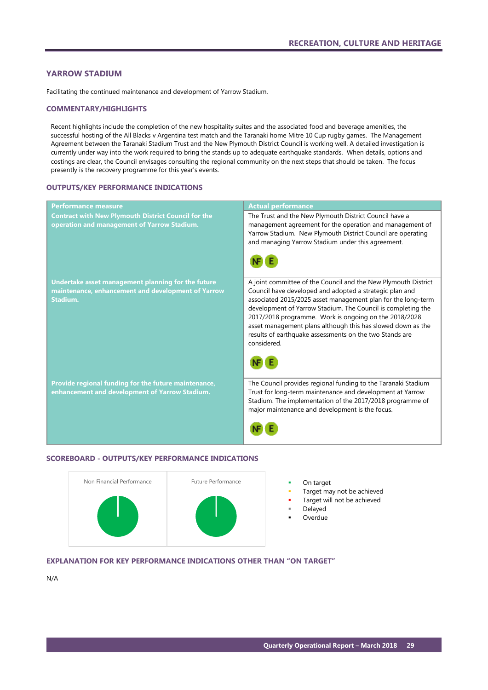# <span id="page-30-0"></span>**YARROW STADIUM**

Facilitating the continued maintenance and development of Yarrow Stadium.

### **COMMENTARY/HIGHLIGHTS**

Recent highlights include the completion of the new hospitality suites and the associated food and beverage amenities, the successful hosting of the All Blacks v Argentina test match and the Taranaki home Mitre 10 Cup rugby games. The Management Agreement between the Taranaki Stadium Trust and the New Plymouth District Council is working well. A detailed investigation is currently under way into the work required to bring the stands up to adequate earthquake standards. When details, options and costings are clear, the Council envisages consulting the regional community on the next steps that should be taken. The focus presently is the recovery programme for this year's events.

# **OUTPUTS/KEY PERFORMANCE INDICATIONS**

| <b>Performance measure</b>                                                                                           | <b>Actual performance</b>                                                                                                                                                                                                                                                                                                                                                                                                                                   |
|----------------------------------------------------------------------------------------------------------------------|-------------------------------------------------------------------------------------------------------------------------------------------------------------------------------------------------------------------------------------------------------------------------------------------------------------------------------------------------------------------------------------------------------------------------------------------------------------|
| <b>Contract with New Plymouth District Council for the</b><br>operation and management of Yarrow Stadium.            | The Trust and the New Plymouth District Council have a<br>management agreement for the operation and management of<br>Yarrow Stadium. New Plymouth District Council are operating<br>and managing Yarrow Stadium under this agreement.                                                                                                                                                                                                                      |
| Undertake asset management planning for the future<br>maintenance, enhancement and development of Yarrow<br>Stadium. | A joint committee of the Council and the New Plymouth District<br>Council have developed and adopted a strategic plan and<br>associated 2015/2025 asset management plan for the long-term<br>development of Yarrow Stadium. The Council is completing the<br>2017/2018 programme. Work is ongoing on the 2018/2028<br>asset management plans although this has slowed down as the<br>results of earthquake assessments on the two Stands are<br>considered. |
| Provide regional funding for the future maintenance,<br>enhancement and development of Yarrow Stadium.               | The Council provides regional funding to the Taranaki Stadium<br>Trust for long-term maintenance and development at Yarrow<br>Stadium. The implementation of the 2017/2018 programme of<br>major maintenance and development is the focus.                                                                                                                                                                                                                  |

# **SCOREBOARD - OUTPUTS/KEY PERFORMANCE INDICATIONS**



- 
- Target may not be achieved
- Target will not be achieved
- Delayed
- **Overdue**

## **EXPLANATION FOR KEY PERFORMANCE INDICATIONS OTHER THAN "ON TARGET"**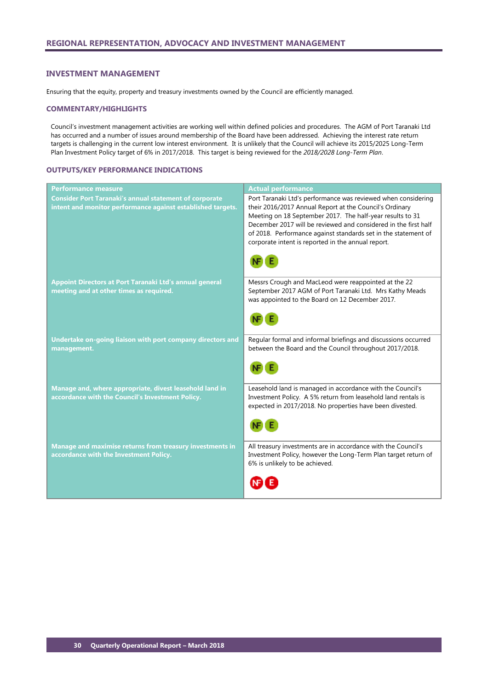### <span id="page-31-0"></span>**INVESTMENT MANAGEMENT**

Ensuring that the equity, property and treasury investments owned by the Council are efficiently managed.

### **COMMENTARY/HIGHLIGHTS**

Council's investment management activities are working well within defined policies and procedures. The AGM of Port Taranaki Ltd has occurred and a number of issues around membership of the Board have been addressed. Achieving the interest rate return targets is challenging in the current low interest environment. It is unlikely that the Council will achieve its 2015/2025 Long-Term Plan Investment Policy target of 6% in 2017/2018. This target is being reviewed for the *2018/2028 Long-Term Plan*.

# **OUTPUTS/KEY PERFORMANCE INDICATIONS**

| <b>Performance measure</b>                                                                                                   | <b>Actual performance</b>                                                                                                                                                                                                                                                                                                                                                        |
|------------------------------------------------------------------------------------------------------------------------------|----------------------------------------------------------------------------------------------------------------------------------------------------------------------------------------------------------------------------------------------------------------------------------------------------------------------------------------------------------------------------------|
| <b>Consider Port Taranaki's annual statement of corporate</b><br>intent and monitor performance against established targets. | Port Taranaki Ltd's performance was reviewed when considering<br>their 2016/2017 Annual Report at the Council's Ordinary<br>Meeting on 18 September 2017. The half-year results to 31<br>December 2017 will be reviewed and considered in the first half<br>of 2018. Performance against standards set in the statement of<br>corporate intent is reported in the annual report. |
| Appoint Directors at Port Taranaki Ltd's annual general<br>meeting and at other times as required.                           | Messrs Crough and MacLeod were reappointed at the 22<br>September 2017 AGM of Port Taranaki Ltd. Mrs Kathy Meads<br>was appointed to the Board on 12 December 2017.                                                                                                                                                                                                              |
| Undertake on-going liaison with port company directors and<br>management.                                                    | Regular formal and informal briefings and discussions occurred<br>between the Board and the Council throughout 2017/2018.                                                                                                                                                                                                                                                        |
| Manage and, where appropriate, divest leasehold land in<br>accordance with the Council's Investment Policy.                  | Leasehold land is managed in accordance with the Council's<br>Investment Policy. A 5% return from leasehold land rentals is<br>expected in 2017/2018. No properties have been divested.                                                                                                                                                                                          |
| Manage and maximise returns from treasury investments in<br>accordance with the Investment Policy.                           | All treasury investments are in accordance with the Council's<br>Investment Policy, however the Long-Term Plan target return of<br>6% is unlikely to be achieved.                                                                                                                                                                                                                |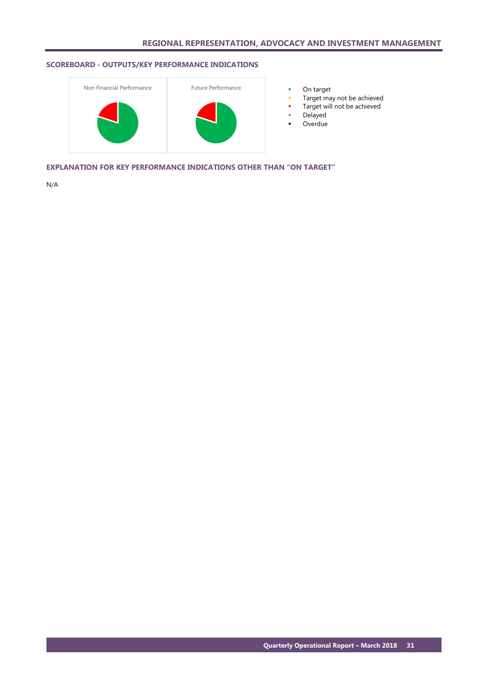# **SCOREBOARD - OUTPUTS/KEY PERFORMANCE INDICATIONS**



- 
- **Target may not be achieved**
- Target will not be achieved
- Delayed
- **-** Overdue

**EXPLANATION FOR KEY PERFORMANCE INDICATIONS OTHER THAN "ON TARGET"**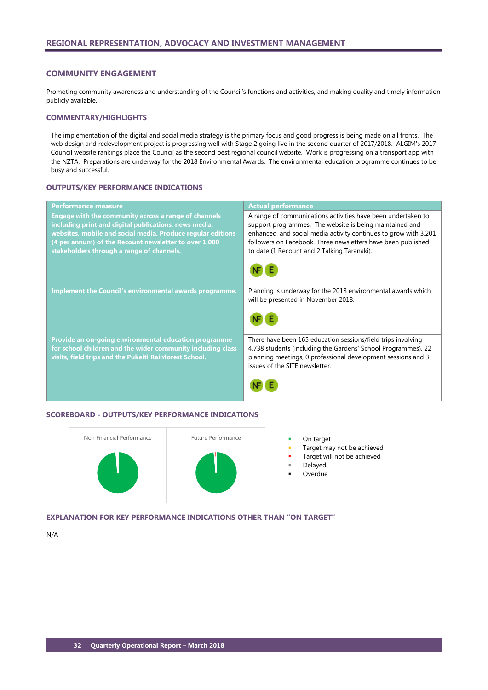### <span id="page-33-0"></span>**COMMUNITY ENGAGEMENT**

Promoting community awareness and understanding of the Council's functions and activities, and making quality and timely information publicly available.

# **COMMENTARY/HIGHLIGHTS**

The implementation of the digital and social media strategy is the primary focus and good progress is being made on all fronts. The web design and redevelopment project is progressing well with Stage 2 going live in the second quarter of 2017/2018. ALGIM's 2017 Council website rankings place the Council as the second best regional council website. Work is progressing on a transport app with the NZTA. Preparations are underway for the 2018 Environmental Awards. The environmental education programme continues to be busy and successful.

# **OUTPUTS/KEY PERFORMANCE INDICATIONS**

| <b>Performance measure</b>                                  | <b>Actual performance</b>                                                                           |
|-------------------------------------------------------------|-----------------------------------------------------------------------------------------------------|
| <b>Engage with the community across a range of channels</b> | A range of communications activities have been undertaken to                                        |
| including print and digital publications, news media,       | support programmes. The website is being maintained and                                             |
| websites, mobile and social media. Produce regular editions | enhanced, and social media activity continues to grow with 3,201                                    |
| (4 per annum) of the Recount newsletter to over 1,000       | followers on Facebook. Three newsletters have been published                                        |
| stakeholders through a range of channels.                   | to date (1 Recount and 2 Talking Taranaki).                                                         |
|                                                             |                                                                                                     |
| Implement the Council's environmental awards programme.     | Planning is underway for the 2018 environmental awards which<br>will be presented in November 2018. |
|                                                             |                                                                                                     |
| Provide an on-going environmental education programme       | There have been 165 education sessions/field trips involving                                        |
| for school children and the wider community including class | 4,738 students (including the Gardens' School Programmes), 22                                       |
| visits, field trips and the Pukeiti Rainforest School.      | planning meetings, 0 professional development sessions and 3<br>issues of the SITE newsletter.      |
|                                                             |                                                                                                     |

## **SCOREBOARD - OUTPUTS/KEY PERFORMANCE INDICATIONS**



- Target may not be achieved
- Target will not be achieved
- Delayed
- **Overdue**

# **EXPLANATION FOR KEY PERFORMANCE INDICATIONS OTHER THAN "ON TARGET"**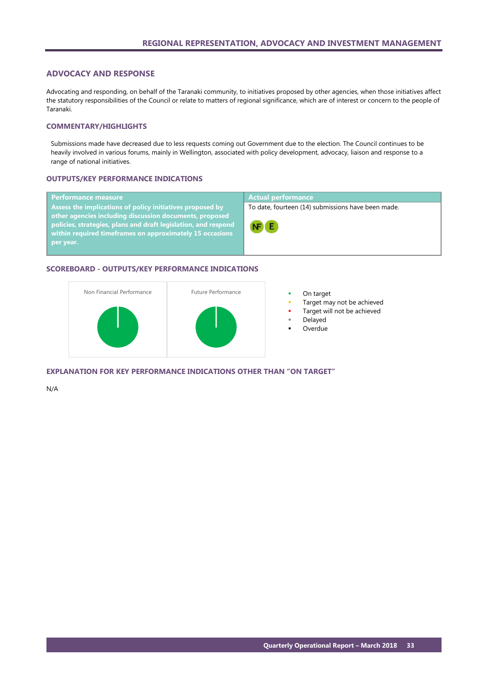# <span id="page-34-0"></span>**ADVOCACY AND RESPONSE**

Advocating and responding, on behalf of the Taranaki community, to initiatives proposed by other agencies, when those initiatives affect the statutory responsibilities of the Council or relate to matters of regional significance, which are of interest or concern to the people of Taranaki.

# **COMMENTARY/HIGHLIGHTS**

Submissions made have decreased due to less requests coming out Government due to the election. The Council continues to be heavily involved in various forums, mainly in Wellington, associated with policy development, advocacy, liaison and response to a range of national initiatives.

### **OUTPUTS/KEY PERFORMANCE INDICATIONS**

| <b>Performance measure</b>                                                                                                                                                            | <b>Actual performance</b>                          |
|---------------------------------------------------------------------------------------------------------------------------------------------------------------------------------------|----------------------------------------------------|
| Assess the implications of policy initiatives proposed by                                                                                                                             | To date, fourteen (14) submissions have been made. |
| other agencies including discussion documents, proposed<br>policies, strategies, plans and draft legislation, and respond<br>within required timeframes on approximately 15 occasions | NF E                                               |
| per year.                                                                                                                                                                             |                                                    |

### **SCOREBOARD - OUTPUTS/KEY PERFORMANCE INDICATIONS**



- 
- Target may not be achieved
- Target will not be achieved
- Delayed
- **Overdue**

# **EXPLANATION FOR KEY PERFORMANCE INDICATIONS OTHER THAN "ON TARGET"**